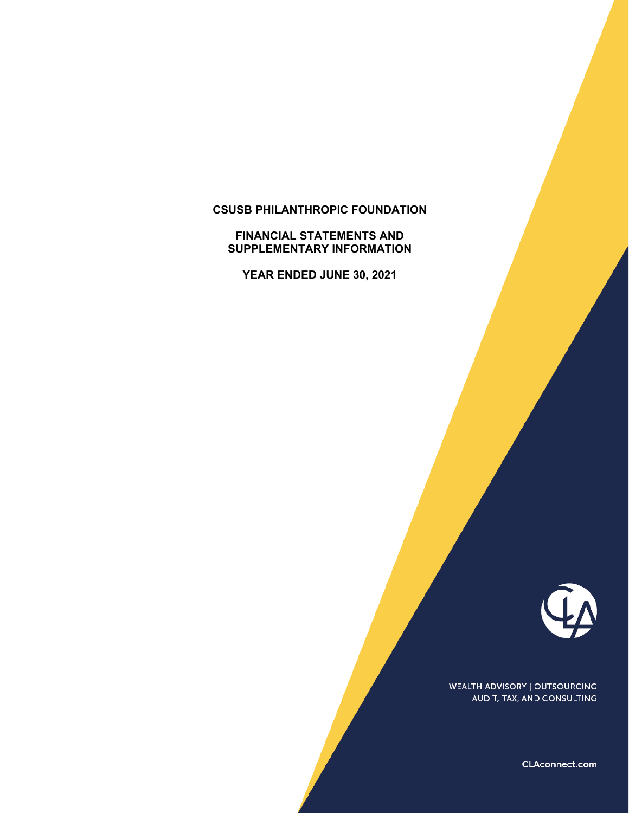# **CSUSB PHILANTHROPIC FOUNDATION**

#### **FINANCIAL STATEMENTS AND SUPPLEMENTARY INFORMATION**

**YEAR ENDED JUNE 30, 2021** 



WEALTH ADVISORY | OUTSOURCING AUDIT, TAX, AND CONSULTING

CLAconnect.com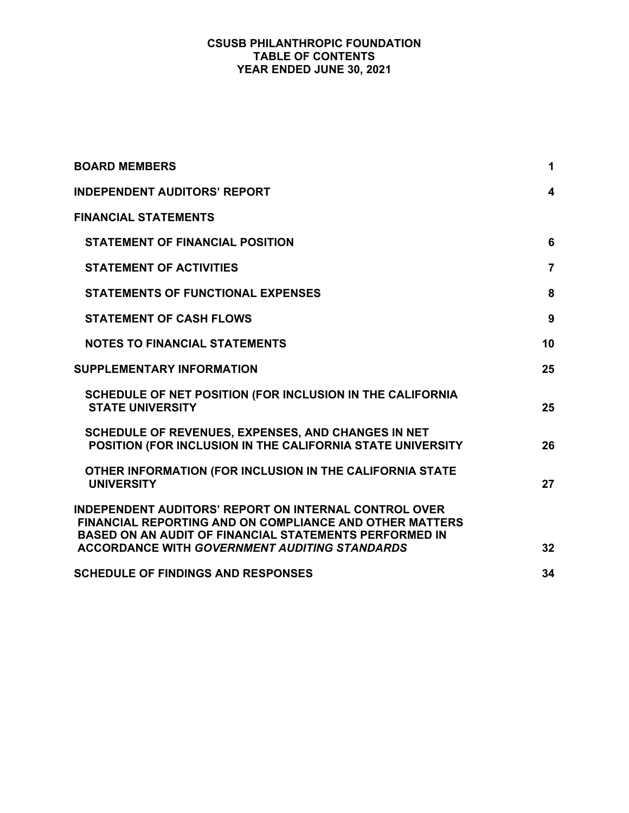# **CSUSB PHILANTHROPIC FOUNDATION TABLE OF CONTENTS YEAR ENDED JUNE 30, 2021**

| <b>BOARD MEMBERS</b>                                                                                                                                                                            | 1              |
|-------------------------------------------------------------------------------------------------------------------------------------------------------------------------------------------------|----------------|
| <b>INDEPENDENT AUDITORS' REPORT</b>                                                                                                                                                             | 4              |
| <b>FINANCIAL STATEMENTS</b>                                                                                                                                                                     |                |
| <b>STATEMENT OF FINANCIAL POSITION</b>                                                                                                                                                          | 6              |
| <b>STATEMENT OF ACTIVITIES</b>                                                                                                                                                                  | $\overline{7}$ |
| <b>STATEMENTS OF FUNCTIONAL EXPENSES</b>                                                                                                                                                        | 8              |
| <b>STATEMENT OF CASH FLOWS</b>                                                                                                                                                                  | 9              |
| <b>NOTES TO FINANCIAL STATEMENTS</b>                                                                                                                                                            | 10             |
| <b>SUPPLEMENTARY INFORMATION</b>                                                                                                                                                                | 25             |
| SCHEDULE OF NET POSITION (FOR INCLUSION IN THE CALIFORNIA<br><b>STATE UNIVERSITY</b>                                                                                                            | 25             |
| SCHEDULE OF REVENUES, EXPENSES, AND CHANGES IN NET<br>POSITION (FOR INCLUSION IN THE CALIFORNIA STATE UNIVERSITY                                                                                | 26             |
| OTHER INFORMATION (FOR INCLUSION IN THE CALIFORNIA STATE<br><b>UNIVERSITY</b>                                                                                                                   | 27             |
| <b>INDEPENDENT AUDITORS' REPORT ON INTERNAL CONTROL OVER</b><br><b>FINANCIAL REPORTING AND ON COMPLIANCE AND OTHER MATTERS</b><br><b>BASED ON AN AUDIT OF FINANCIAL STATEMENTS PERFORMED IN</b> |                |
| <b>ACCORDANCE WITH GOVERNMENT AUDITING STANDARDS</b>                                                                                                                                            | 32             |
| <b>SCHEDULE OF FINDINGS AND RESPONSES</b>                                                                                                                                                       | 34             |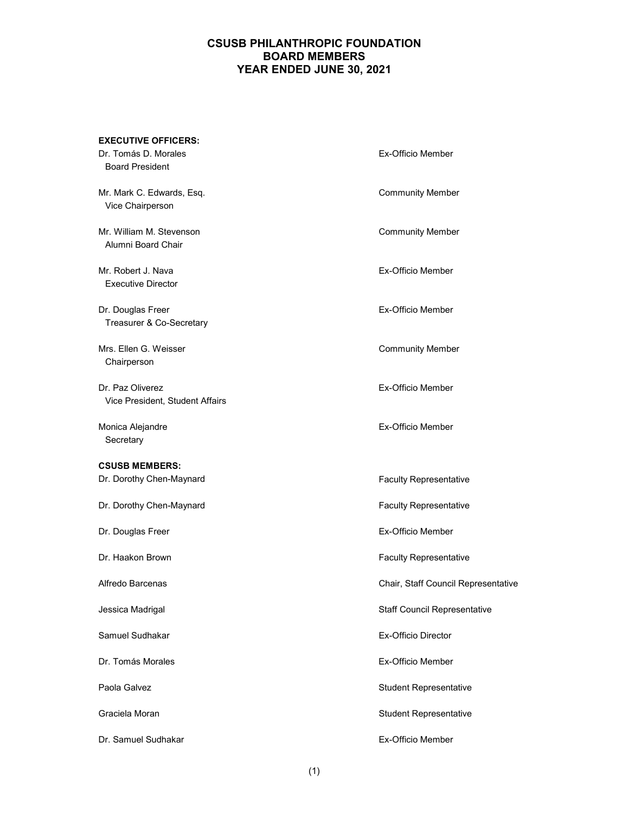# **CSUSB PHILANTHROPIC FOUNDATION BOARD MEMBERS YEAR ENDED JUNE 30, 2021**

| <b>EXECUTIVE OFFICERS:</b>                          |                                     |
|-----------------------------------------------------|-------------------------------------|
| Dr. Tomás D. Morales<br><b>Board President</b>      | Ex-Officio Member                   |
| Mr. Mark C. Edwards, Esq.<br>Vice Chairperson       | <b>Community Member</b>             |
| Mr. William M. Stevenson<br>Alumni Board Chair      | <b>Community Member</b>             |
| Mr. Robert J. Nava<br><b>Executive Director</b>     | Ex-Officio Member                   |
| Dr. Douglas Freer<br>Treasurer & Co-Secretary       | <b>Ex-Officio Member</b>            |
| Mrs. Ellen G. Weisser<br>Chairperson                | <b>Community Member</b>             |
| Dr. Paz Oliverez<br>Vice President, Student Affairs | Ex-Officio Member                   |
| Monica Alejandre<br>Secretary                       | <b>Ex-Officio Member</b>            |
| <b>CSUSB MEMBERS:</b>                               |                                     |
| Dr. Dorothy Chen-Maynard                            | <b>Faculty Representative</b>       |
| Dr. Dorothy Chen-Maynard                            | <b>Faculty Representative</b>       |
| Dr. Douglas Freer                                   | Ex-Officio Member                   |
| Dr. Haakon Brown                                    | <b>Faculty Representative</b>       |
| Alfredo Barcenas                                    | Chair, Staff Council Representative |
| Jessica Madrigal                                    | <b>Staff Council Representative</b> |
| Samuel Sudhakar                                     | <b>Ex-Officio Director</b>          |
| Dr. Tomás Morales                                   | Ex-Officio Member                   |
| Paola Galvez                                        | <b>Student Representative</b>       |
| Graciela Moran                                      | <b>Student Representative</b>       |
| Dr. Samuel Sudhakar                                 | Ex-Officio Member                   |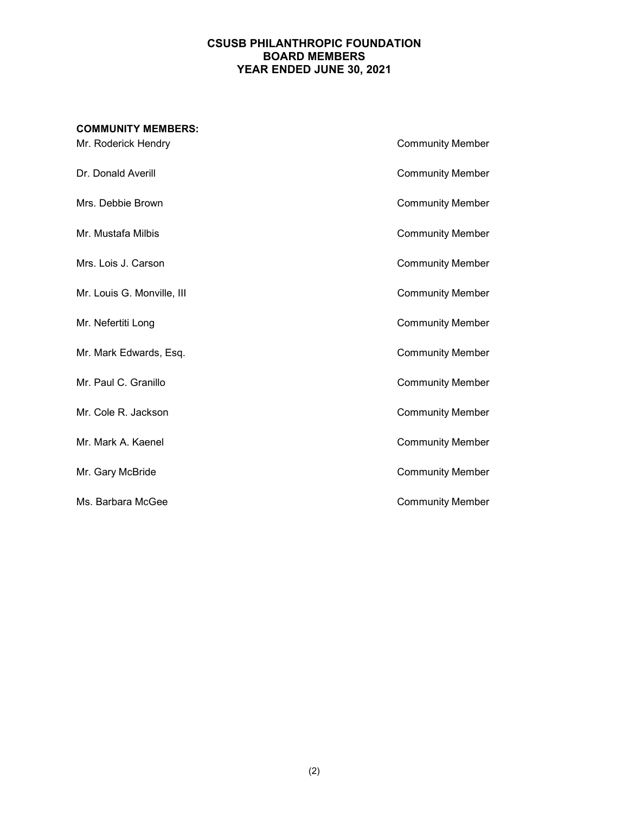## **CSUSB PHILANTHROPIC FOUNDATION BOARD MEMBERS YEAR ENDED JUNE 30, 2021**

# **COMMUNITY MEMBERS:** Mr. Roderick Hendry **Community Member** Dr. Donald Averill **Community Member** Mrs. Debbie Brown **Community Member** Mr. Mustafa Milbis **Community Member** Mrs. Lois J. Carson **Community Member** Mr. Louis G. Monville, III Community Member Mr. Nefertiti Long **Community Member** Mr. Mark Edwards, Esq. Community Member Mr. Paul C. Granillo **Community Member** Mr. Cole R. Jackson **Community Member** Mr. Mark A. Kaenel **Community Member** Mr. Gary McBride **Community Member** Ms. Barbara McGee **Community Member**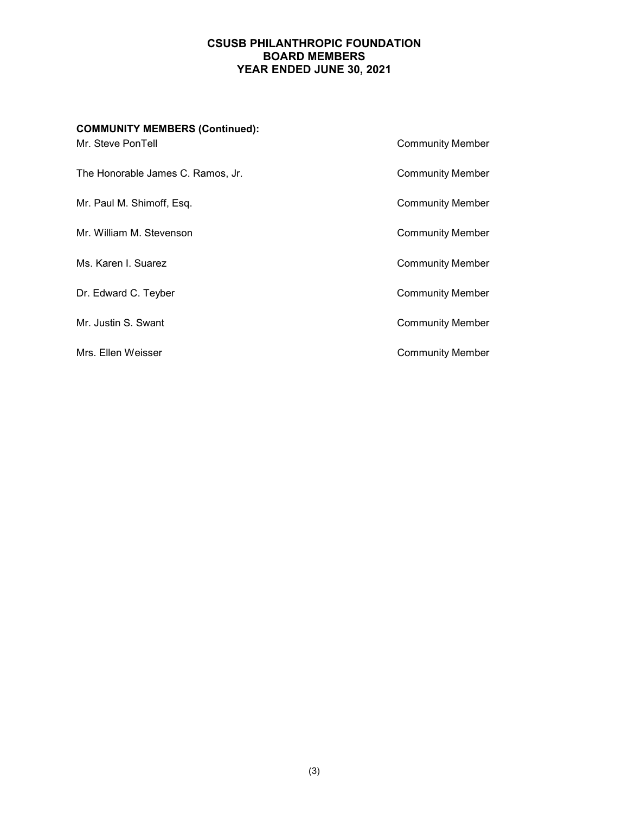# **CSUSB PHILANTHROPIC FOUNDATION BOARD MEMBERS YEAR ENDED JUNE 30, 2021**

| <b>COMMUNITY MEMBERS (Continued):</b> |                         |
|---------------------------------------|-------------------------|
| Mr. Steve PonTell                     | <b>Community Member</b> |
| The Honorable James C. Ramos, Jr.     | <b>Community Member</b> |
| Mr. Paul M. Shimoff, Esq.             | <b>Community Member</b> |
| Mr. William M. Stevenson              | <b>Community Member</b> |
| Ms. Karen I. Suarez                   | <b>Community Member</b> |
| Dr. Edward C. Teyber                  | <b>Community Member</b> |
| Mr. Justin S. Swant                   | <b>Community Member</b> |
| Mrs. Ellen Weisser                    | <b>Community Member</b> |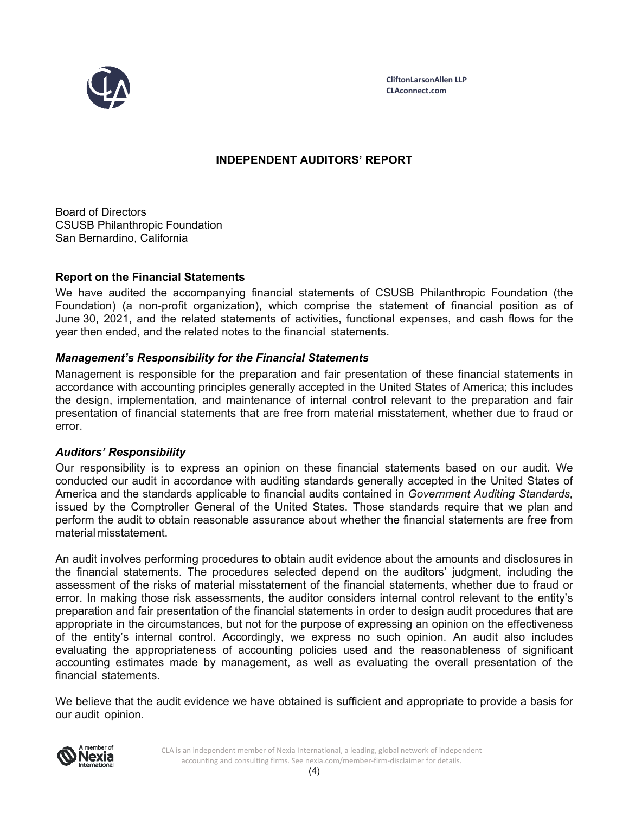

# **INDEPENDENT AUDITORS' REPORT**

Board of Directors CSUSB Philanthropic Foundation San Bernardino, California

# **Report on the Financial Statements**

We have audited the accompanying financial statements of CSUSB Philanthropic Foundation (the Foundation) (a non-profit organization), which comprise the statement of financial position as of June 30, 2021, and the related statements of activities, functional expenses, and cash flows for the year then ended, and the related notes to the financial statements.

# *Management's Responsibility for the Financial Statements*

Management is responsible for the preparation and fair presentation of these financial statements in accordance with accounting principles generally accepted in the United States of America; this includes the design, implementation, and maintenance of internal control relevant to the preparation and fair presentation of financial statements that are free from material misstatement, whether due to fraud or error.

# *Auditors' Responsibility*

Our responsibility is to express an opinion on these financial statements based on our audit. We conducted our audit in accordance with auditing standards generally accepted in the United States of America and the standards applicable to financial audits contained in *Government Auditing Standards,*  issued by the Comptroller General of the United States. Those standards require that we plan and perform the audit to obtain reasonable assurance about whether the financial statements are free from material misstatement.

An audit involves performing procedures to obtain audit evidence about the amounts and disclosures in the financial statements. The procedures selected depend on the auditors' judgment, including the assessment of the risks of material misstatement of the financial statements, whether due to fraud or error. In making those risk assessments, the auditor considers internal control relevant to the entity's preparation and fair presentation of the financial statements in order to design audit procedures that are appropriate in the circumstances, but not for the purpose of expressing an opinion on the effectiveness of the entity's internal control. Accordingly, we express no such opinion. An audit also includes evaluating the appropriateness of accounting policies used and the reasonableness of significant accounting estimates made by management, as well as evaluating the overall presentation of the financial statements.

We believe that the audit evidence we have obtained is sufficient and appropriate to provide a basis for our audit opinion.



CLA is an independent member of Nexia International, a leading, global network of independent accounting and consulting firms. See nexia.com/member-firm-disclaimer for details.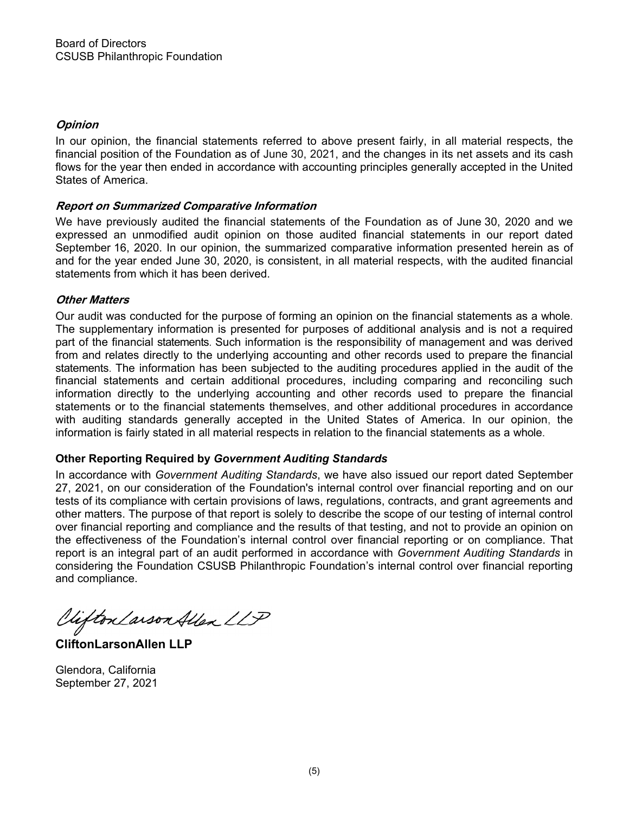# **Opinion**

In our opinion, the financial statements referred to above present fairly, in all material respects, the financial position of the Foundation as of June 30, 2021, and the changes in its net assets and its cash flows for the year then ended in accordance with accounting principles generally accepted in the United States of America.

# **Report on Summarized Comparative Information**

We have previously audited the financial statements of the Foundation as of June 30, 2020 and we expressed an unmodified audit opinion on those audited financial statements in our report dated September 16, 2020. In our opinion, the summarized comparative information presented herein as of and for the year ended June 30, 2020, is consistent, in all material respects, with the audited financial statements from which it has been derived.

# **Other Matters**

Our audit was conducted for the purpose of forming an opinion on the financial statements as a whole. The supplementary information is presented for purposes of additional analysis and is not a required part of the financial statements. Such information is the responsibility of management and was derived from and relates directly to the underlying accounting and other records used to prepare the financial statements. The information has been subjected to the auditing procedures applied in the audit of the financial statements and certain additional procedures, including comparing and reconciling such information directly to the underlying accounting and other records used to prepare the financial statements or to the financial statements themselves, and other additional procedures in accordance with auditing standards generally accepted in the United States of America. In our opinion, the information is fairly stated in all material respects in relation to the financial statements as a whole.

# **Other Reporting Required by** *Government Auditing Standards*

In accordance with *Government Auditing Standards*, we have also issued our report dated September 27, 2021, on our consideration of the Foundation's internal control over financial reporting and on our tests of its compliance with certain provisions of laws, regulations, contracts, and grant agreements and other matters. The purpose of that report is solely to describe the scope of our testing of internal control over financial reporting and compliance and the results of that testing, and not to provide an opinion on the effectiveness of the Foundation's internal control over financial reporting or on compliance. That report is an integral part of an audit performed in accordance with *Government Auditing Standards* in considering the Foundation CSUSB Philanthropic Foundation's internal control over financial reporting and compliance.

Viifton Larson Allen LLP

**CliftonLarsonAllen LLP** 

Glendora, California September 27, 2021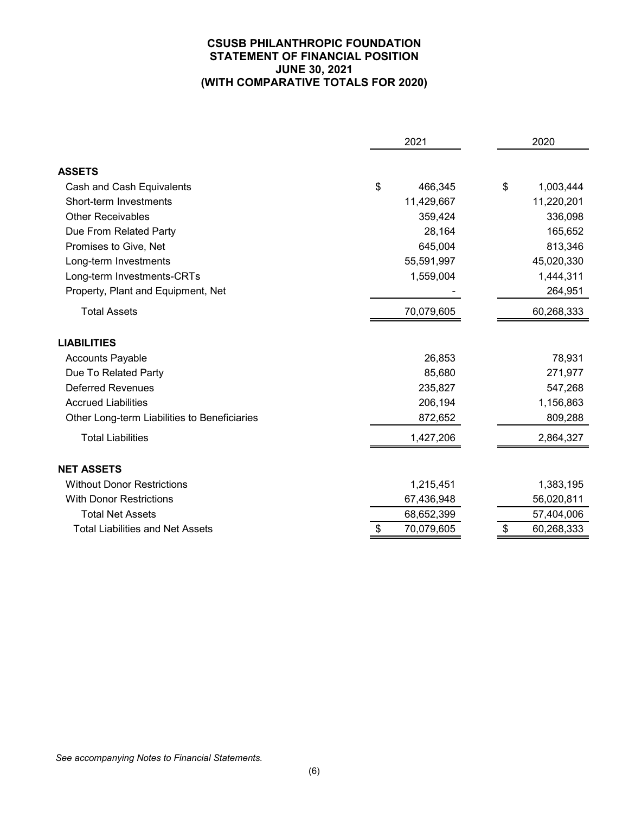# **CSUSB PHILANTHROPIC FOUNDATION STATEMENT OF FINANCIAL POSITION JUNE 30, 2021 (WITH COMPARATIVE TOTALS FOR 2020)**

|                                              | 2021             |  |    | 2020       |  |  |
|----------------------------------------------|------------------|--|----|------------|--|--|
| <b>ASSETS</b>                                |                  |  |    |            |  |  |
| Cash and Cash Equivalents                    | \$<br>466,345    |  | \$ | 1,003,444  |  |  |
| Short-term Investments                       | 11,429,667       |  |    | 11,220,201 |  |  |
| <b>Other Receivables</b>                     | 359,424          |  |    | 336,098    |  |  |
| Due From Related Party                       | 28,164           |  |    | 165,652    |  |  |
| Promises to Give, Net                        | 645,004          |  |    | 813,346    |  |  |
| Long-term Investments                        | 55,591,997       |  |    | 45,020,330 |  |  |
| Long-term Investments-CRTs                   | 1,559,004        |  |    | 1,444,311  |  |  |
| Property, Plant and Equipment, Net           |                  |  |    | 264,951    |  |  |
| <b>Total Assets</b>                          | 70,079,605       |  |    | 60,268,333 |  |  |
| <b>LIABILITIES</b>                           |                  |  |    |            |  |  |
| <b>Accounts Payable</b>                      | 26,853           |  |    | 78,931     |  |  |
| Due To Related Party                         | 85,680           |  |    | 271,977    |  |  |
| <b>Deferred Revenues</b>                     | 235,827          |  |    | 547,268    |  |  |
| <b>Accrued Liabilities</b>                   | 206,194          |  |    | 1,156,863  |  |  |
| Other Long-term Liabilities to Beneficiaries | 872,652          |  |    | 809,288    |  |  |
| <b>Total Liabilities</b>                     | 1,427,206        |  |    | 2,864,327  |  |  |
| <b>NET ASSETS</b>                            |                  |  |    |            |  |  |
| <b>Without Donor Restrictions</b>            | 1,215,451        |  |    | 1,383,195  |  |  |
| <b>With Donor Restrictions</b>               | 67,436,948       |  |    | 56,020,811 |  |  |
| <b>Total Net Assets</b>                      | 68,652,399       |  |    | 57,404,006 |  |  |
| <b>Total Liabilities and Net Assets</b>      | \$<br>70,079,605 |  | \$ | 60,268,333 |  |  |

*See accompanying Notes to Financial Statements.*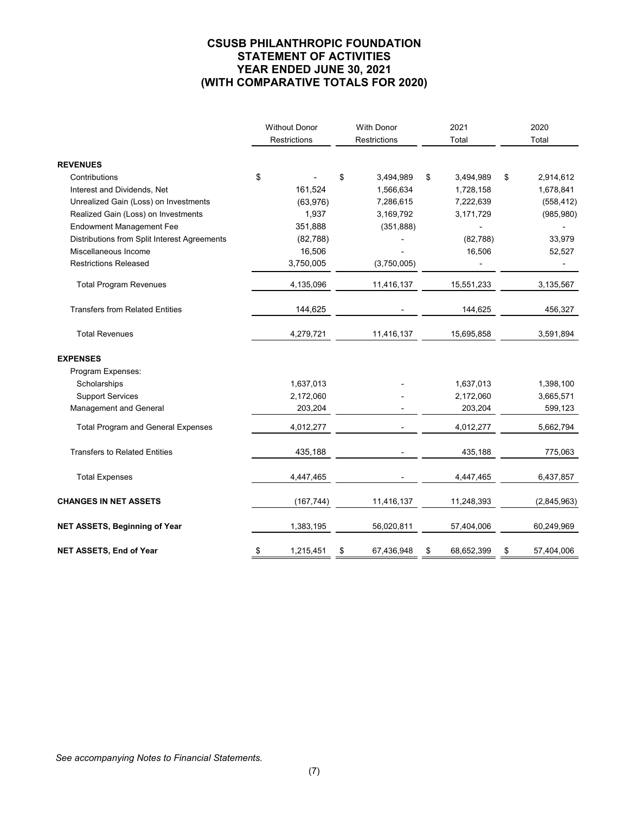# **CSUSB PHILANTHROPIC FOUNDATION STATEMENT OF ACTIVITIES YEAR ENDED JUNE 30, 2021 (WITH COMPARATIVE TOTALS FOR 2020)**

|                                              | <b>Without Donor</b><br>Restrictions |            | <b>With Donor</b><br>Restrictions |             | 2021<br>Total |            | 2020<br>Total |             |
|----------------------------------------------|--------------------------------------|------------|-----------------------------------|-------------|---------------|------------|---------------|-------------|
| <b>REVENUES</b>                              |                                      |            |                                   |             |               |            |               |             |
| Contributions                                | \$                                   |            | \$                                | 3,494,989   | \$            | 3,494,989  | \$            | 2,914,612   |
| Interest and Dividends, Net                  |                                      | 161,524    |                                   | 1,566,634   |               | 1,728,158  |               | 1,678,841   |
| Unrealized Gain (Loss) on Investments        |                                      | (63, 976)  |                                   | 7,286,615   |               | 7,222,639  |               | (558, 412)  |
| Realized Gain (Loss) on Investments          |                                      | 1,937      |                                   | 3,169,792   |               | 3,171,729  |               | (985, 980)  |
| <b>Endowment Management Fee</b>              |                                      | 351,888    |                                   | (351, 888)  |               |            |               |             |
| Distributions from Split Interest Agreements |                                      | (82, 788)  |                                   |             |               | (82, 788)  |               | 33,979      |
| Miscellaneous Income                         |                                      | 16,506     |                                   |             |               | 16,506     |               | 52,527      |
| <b>Restrictions Released</b>                 |                                      | 3,750,005  |                                   | (3,750,005) |               |            |               |             |
| <b>Total Program Revenues</b>                |                                      | 4,135,096  |                                   | 11,416,137  |               | 15,551,233 |               | 3,135,567   |
| <b>Transfers from Related Entities</b>       |                                      | 144,625    |                                   |             |               | 144,625    |               | 456,327     |
| <b>Total Revenues</b>                        |                                      | 4,279,721  |                                   | 11,416,137  |               | 15,695,858 |               | 3,591,894   |
| <b>EXPENSES</b>                              |                                      |            |                                   |             |               |            |               |             |
| Program Expenses:                            |                                      |            |                                   |             |               |            |               |             |
| Scholarships                                 |                                      | 1,637,013  |                                   |             |               | 1,637,013  |               | 1,398,100   |
| <b>Support Services</b>                      |                                      | 2,172,060  |                                   |             |               | 2,172,060  |               | 3,665,571   |
| Management and General                       |                                      | 203,204    |                                   |             |               | 203,204    |               | 599,123     |
| <b>Total Program and General Expenses</b>    |                                      | 4,012,277  |                                   |             |               | 4,012,277  |               | 5,662,794   |
| <b>Transfers to Related Entities</b>         |                                      | 435,188    |                                   |             |               | 435,188    |               | 775,063     |
| <b>Total Expenses</b>                        |                                      | 4,447,465  |                                   |             |               | 4,447,465  |               | 6,437,857   |
| <b>CHANGES IN NET ASSETS</b>                 |                                      | (167, 744) |                                   | 11,416,137  |               | 11,248,393 |               | (2,845,963) |
| NET ASSETS, Beginning of Year                |                                      | 1,383,195  |                                   | 56,020,811  |               | 57,404,006 |               | 60,249,969  |
| NET ASSETS, End of Year                      | \$                                   | 1,215,451  | \$                                | 67,436,948  | \$            | 68,652,399 | \$            | 57,404,006  |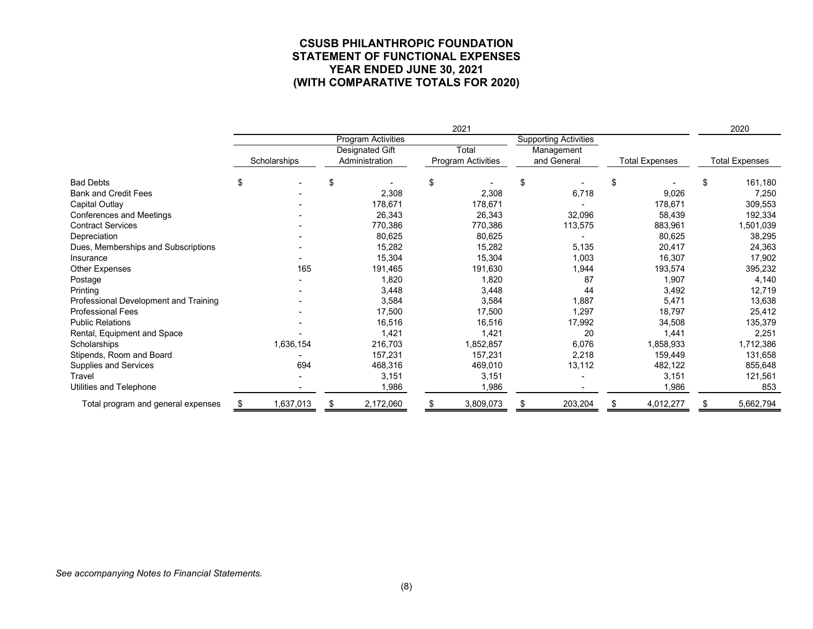#### **CSUSB PHILANTHROPIC FOUNDATION STATEMENT OF FUNCTIONAL EXPENSES YEAR ENDED JUNE 30, 2021 (WITH COMPARATIVE TOTALS FOR 2020)**

|                                       | 2021         |                          |                    |                              |                       |                       |  |
|---------------------------------------|--------------|--------------------------|--------------------|------------------------------|-----------------------|-----------------------|--|
|                                       |              | Program Activities       |                    | <b>Supporting Activities</b> |                       |                       |  |
|                                       |              | Total<br>Designated Gift |                    | Management                   |                       |                       |  |
|                                       | Scholarships | Administration           | Program Activities | and General                  | <b>Total Expenses</b> | <b>Total Expenses</b> |  |
| <b>Bad Debts</b>                      | \$           | \$                       | \$                 | \$                           | \$                    | \$<br>161,180         |  |
| <b>Bank and Credit Fees</b>           |              | 2,308                    | 2,308              | 6,718                        | 9,026                 | 7,250                 |  |
| Capital Outlay                        |              | 178,671                  | 178,671            |                              | 178,671               | 309,553               |  |
| Conferences and Meetings              |              | 26,343                   | 26,343             | 32,096                       | 58,439                | 192,334               |  |
| <b>Contract Services</b>              |              | 770,386                  | 770,386            | 113,575                      | 883,961               | 1,501,039             |  |
| Depreciation                          |              | 80,625                   | 80,625             |                              | 80,625                | 38,295                |  |
| Dues, Memberships and Subscriptions   |              | 15,282                   | 15,282             | 5,135                        | 20,417                | 24,363                |  |
| Insurance                             |              | 15,304                   | 15,304             | 1,003                        | 16,307                | 17,902                |  |
| Other Expenses                        | 165          | 191,465                  | 191,630            | 1,944                        | 193,574               | 395,232               |  |
| Postage                               |              | 1,820                    | 1,820              | 87                           | 1,907                 | 4,140                 |  |
| Printing                              |              | 3,448                    | 3,448              | 44                           | 3,492                 | 12,719                |  |
| Professional Development and Training |              | 3,584                    | 3,584              | 1,887                        | 5,471                 | 13,638                |  |
| <b>Professional Fees</b>              |              | 17,500                   | 17,500             | 1,297                        | 18,797                | 25,412                |  |
| <b>Public Relations</b>               |              | 16,516                   | 16,516             | 17,992                       | 34,508                | 135,379               |  |
| Rental, Equipment and Space           |              | 1,421                    | 1,421              | 20                           | 1,441                 | 2,251                 |  |
| Scholarships                          | 1,636,154    | 216,703                  | 1,852,857          | 6,076                        | 1,858,933             | 1,712,386             |  |
| Stipends, Room and Board              |              | 157,231                  | 157,231            | 2,218                        | 159,449               | 131,658               |  |
| Supplies and Services                 | 694          | 468,316                  | 469,010            | 13,112                       | 482,122               | 855,648               |  |
| Travel                                |              | 3,151                    | 3,151              |                              | 3,151                 | 121,561               |  |
| Utilities and Telephone               |              | 1,986                    | 1,986              |                              | 1,986                 | 853                   |  |
| Total program and general expenses    | 1,637,013    | 2,172,060<br>\$          | 3,809,073<br>\$    | 203,204<br>S                 | 4,012,277<br>\$       | 5,662,794             |  |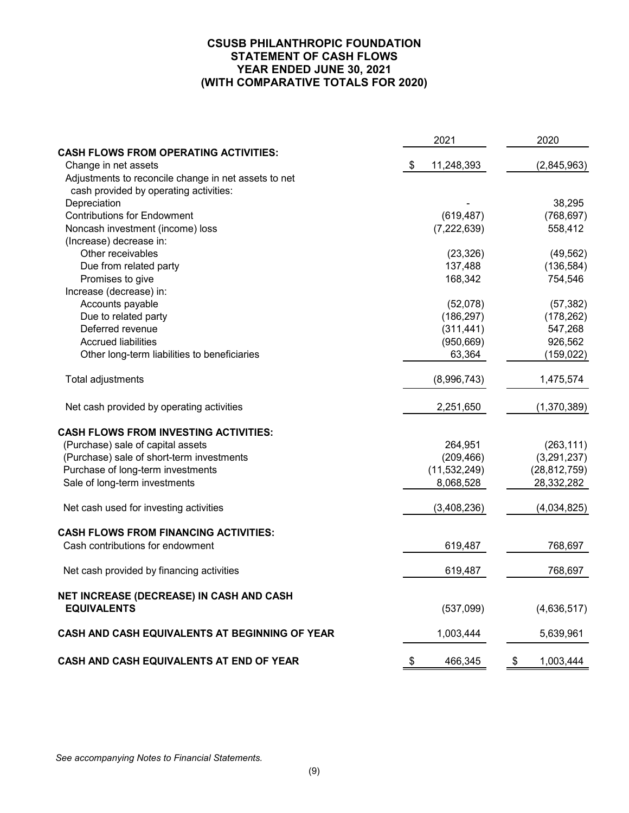# **CSUSB PHILANTHROPIC FOUNDATION STATEMENT OF CASH FLOWS YEAR ENDED JUNE 30, 2021 (WITH COMPARATIVE TOTALS FOR 2020)**

|                                                       | 2021                        | 2020            |
|-------------------------------------------------------|-----------------------------|-----------------|
| <b>CASH FLOWS FROM OPERATING ACTIVITIES:</b>          |                             |                 |
| Change in net assets                                  | $\frac{1}{2}$<br>11,248,393 | (2,845,963)     |
| Adjustments to reconcile change in net assets to net  |                             |                 |
| cash provided by operating activities:                |                             |                 |
| Depreciation                                          |                             | 38,295          |
| <b>Contributions for Endowment</b>                    | (619, 487)                  | (768, 697)      |
| Noncash investment (income) loss                      | (7, 222, 639)               | 558,412         |
| (Increase) decrease in:                               |                             |                 |
| Other receivables                                     | (23, 326)                   | (49, 562)       |
| Due from related party                                | 137,488                     | (136, 584)      |
| Promises to give                                      | 168,342                     | 754,546         |
| Increase (decrease) in:                               |                             |                 |
| Accounts payable                                      | (52,078)                    | (57, 382)       |
| Due to related party                                  | (186, 297)                  | (178, 262)      |
| Deferred revenue                                      | (311, 441)                  | 547,268         |
| <b>Accrued liabilities</b>                            | (950, 669)                  | 926,562         |
| Other long-term liabilities to beneficiaries          | 63,364                      | (159, 022)      |
| Total adjustments                                     | (8,996,743)                 | 1,475,574       |
| Net cash provided by operating activities             | 2,251,650                   | (1,370,389)     |
| <b>CASH FLOWS FROM INVESTING ACTIVITIES:</b>          |                             |                 |
| (Purchase) sale of capital assets                     | 264,951                     | (263, 111)      |
| (Purchase) sale of short-term investments             | (209, 466)                  | (3,291,237)     |
| Purchase of long-term investments                     | (11, 532, 249)              | (28, 812, 759)  |
| Sale of long-term investments                         | 8,068,528                   | 28,332,282      |
| Net cash used for investing activities                | (3,408,236)                 | (4,034,825)     |
| <b>CASH FLOWS FROM FINANCING ACTIVITIES:</b>          |                             |                 |
| Cash contributions for endowment                      | 619,487                     | 768,697         |
| Net cash provided by financing activities             | 619,487                     | 768,697         |
| NET INCREASE (DECREASE) IN CASH AND CASH              |                             |                 |
| <b>EQUIVALENTS</b>                                    | (537,099)                   | (4,636,517)     |
| <b>CASH AND CASH EQUIVALENTS AT BEGINNING OF YEAR</b> | 1,003,444                   | 5,639,961       |
| CASH AND CASH EQUIVALENTS AT END OF YEAR              | \$<br>466,345               | \$<br>1,003,444 |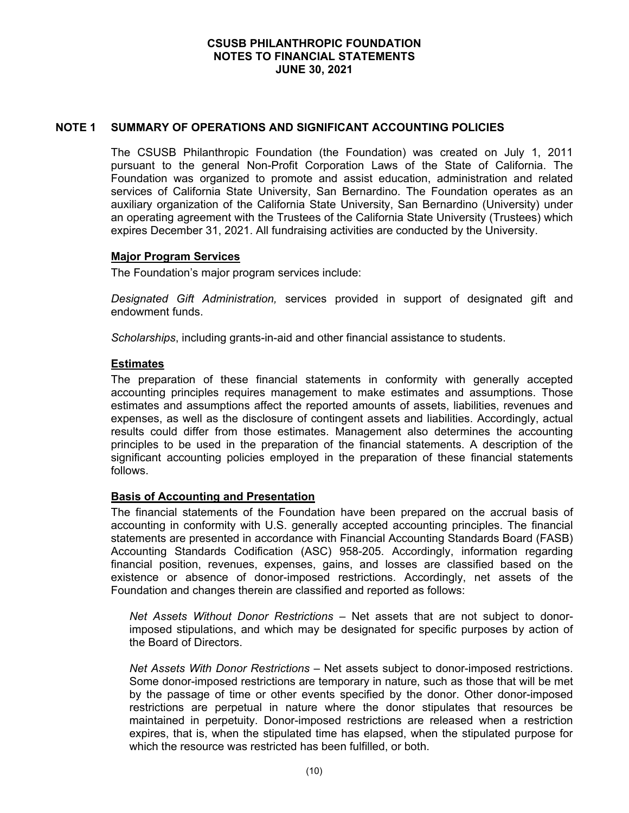## **NOTE 1 SUMMARY OF OPERATIONS AND SIGNIFICANT ACCOUNTING POLICIES**

The CSUSB Philanthropic Foundation (the Foundation) was created on July 1, 2011 pursuant to the general Non-Profit Corporation Laws of the State of California. The Foundation was organized to promote and assist education, administration and related services of California State University, San Bernardino. The Foundation operates as an auxiliary organization of the California State University, San Bernardino (University) under an operating agreement with the Trustees of the California State University (Trustees) which expires December 31, 2021. All fundraising activities are conducted by the University.

#### **Major Program Services**

The Foundation's major program services include:

*Designated Gift Administration,* services provided in support of designated gift and endowment funds.

*Scholarships*, including grants-in-aid and other financial assistance to students.

## **Estimates**

The preparation of these financial statements in conformity with generally accepted accounting principles requires management to make estimates and assumptions. Those estimates and assumptions affect the reported amounts of assets, liabilities, revenues and expenses, as well as the disclosure of contingent assets and liabilities. Accordingly, actual results could differ from those estimates. Management also determines the accounting principles to be used in the preparation of the financial statements. A description of the significant accounting policies employed in the preparation of these financial statements follows.

# **Basis of Accounting and Presentation**

The financial statements of the Foundation have been prepared on the accrual basis of accounting in conformity with U.S. generally accepted accounting principles. The financial statements are presented in accordance with Financial Accounting Standards Board (FASB) Accounting Standards Codification (ASC) 958-205. Accordingly, information regarding financial position, revenues, expenses, gains, and losses are classified based on the existence or absence of donor-imposed restrictions. Accordingly, net assets of the Foundation and changes therein are classified and reported as follows:

*Net Assets Without Donor Restrictions* – Net assets that are not subject to donorimposed stipulations, and which may be designated for specific purposes by action of the Board of Directors.

*Net Assets With Donor Restrictions* – Net assets subject to donor-imposed restrictions. Some donor-imposed restrictions are temporary in nature, such as those that will be met by the passage of time or other events specified by the donor. Other donor-imposed restrictions are perpetual in nature where the donor stipulates that resources be maintained in perpetuity. Donor-imposed restrictions are released when a restriction expires, that is, when the stipulated time has elapsed, when the stipulated purpose for which the resource was restricted has been fulfilled, or both.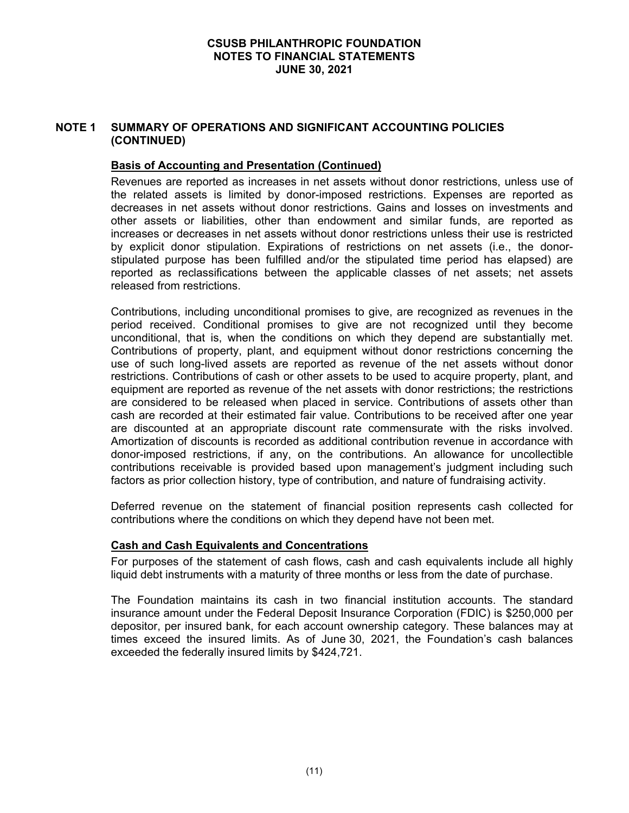# **NOTE 1 SUMMARY OF OPERATIONS AND SIGNIFICANT ACCOUNTING POLICIES (CONTINUED)**

## **Basis of Accounting and Presentation (Continued)**

Revenues are reported as increases in net assets without donor restrictions, unless use of the related assets is limited by donor-imposed restrictions. Expenses are reported as decreases in net assets without donor restrictions. Gains and losses on investments and other assets or liabilities, other than endowment and similar funds, are reported as increases or decreases in net assets without donor restrictions unless their use is restricted by explicit donor stipulation. Expirations of restrictions on net assets (i.e., the donorstipulated purpose has been fulfilled and/or the stipulated time period has elapsed) are reported as reclassifications between the applicable classes of net assets; net assets released from restrictions.

Contributions, including unconditional promises to give, are recognized as revenues in the period received. Conditional promises to give are not recognized until they become unconditional, that is, when the conditions on which they depend are substantially met. Contributions of property, plant, and equipment without donor restrictions concerning the use of such long-lived assets are reported as revenue of the net assets without donor restrictions. Contributions of cash or other assets to be used to acquire property, plant, and equipment are reported as revenue of the net assets with donor restrictions; the restrictions are considered to be released when placed in service. Contributions of assets other than cash are recorded at their estimated fair value. Contributions to be received after one year are discounted at an appropriate discount rate commensurate with the risks involved. Amortization of discounts is recorded as additional contribution revenue in accordance with donor-imposed restrictions, if any, on the contributions. An allowance for uncollectible contributions receivable is provided based upon management's judgment including such factors as prior collection history, type of contribution, and nature of fundraising activity.

Deferred revenue on the statement of financial position represents cash collected for contributions where the conditions on which they depend have not been met.

#### **Cash and Cash Equivalents and Concentrations**

For purposes of the statement of cash flows, cash and cash equivalents include all highly liquid debt instruments with a maturity of three months or less from the date of purchase.

The Foundation maintains its cash in two financial institution accounts. The standard insurance amount under the Federal Deposit Insurance Corporation (FDIC) is \$250,000 per depositor, per insured bank, for each account ownership category. These balances may at times exceed the insured limits. As of June 30, 2021, the Foundation's cash balances exceeded the federally insured limits by \$424,721.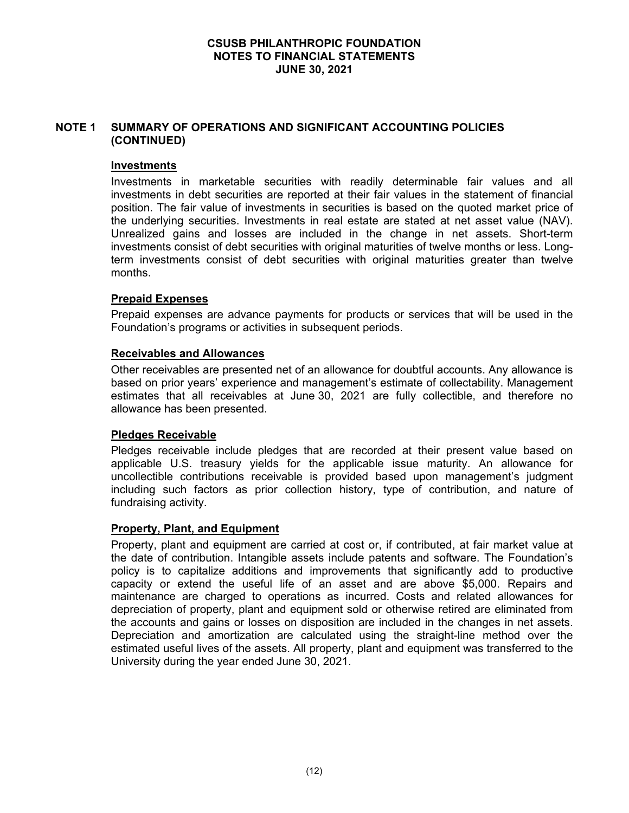# **NOTE 1 SUMMARY OF OPERATIONS AND SIGNIFICANT ACCOUNTING POLICIES (CONTINUED)**

#### **Investments**

Investments in marketable securities with readily determinable fair values and all investments in debt securities are reported at their fair values in the statement of financial position. The fair value of investments in securities is based on the quoted market price of the underlying securities. Investments in real estate are stated at net asset value (NAV). Unrealized gains and losses are included in the change in net assets. Short-term investments consist of debt securities with original maturities of twelve months or less. Longterm investments consist of debt securities with original maturities greater than twelve months.

## **Prepaid Expenses**

Prepaid expenses are advance payments for products or services that will be used in the Foundation's programs or activities in subsequent periods.

## **Receivables and Allowances**

Other receivables are presented net of an allowance for doubtful accounts. Any allowance is based on prior years' experience and management's estimate of collectability. Management estimates that all receivables at June 30, 2021 are fully collectible, and therefore no allowance has been presented.

# **Pledges Receivable**

Pledges receivable include pledges that are recorded at their present value based on applicable U.S. treasury yields for the applicable issue maturity. An allowance for uncollectible contributions receivable is provided based upon management's judgment including such factors as prior collection history, type of contribution, and nature of fundraising activity.

#### **Property, Plant, and Equipment**

Property, plant and equipment are carried at cost or, if contributed, at fair market value at the date of contribution. Intangible assets include patents and software. The Foundation's policy is to capitalize additions and improvements that significantly add to productive capacity or extend the useful life of an asset and are above \$5,000. Repairs and maintenance are charged to operations as incurred. Costs and related allowances for depreciation of property, plant and equipment sold or otherwise retired are eliminated from the accounts and gains or losses on disposition are included in the changes in net assets. Depreciation and amortization are calculated using the straight-line method over the estimated useful lives of the assets. All property, plant and equipment was transferred to the University during the year ended June 30, 2021.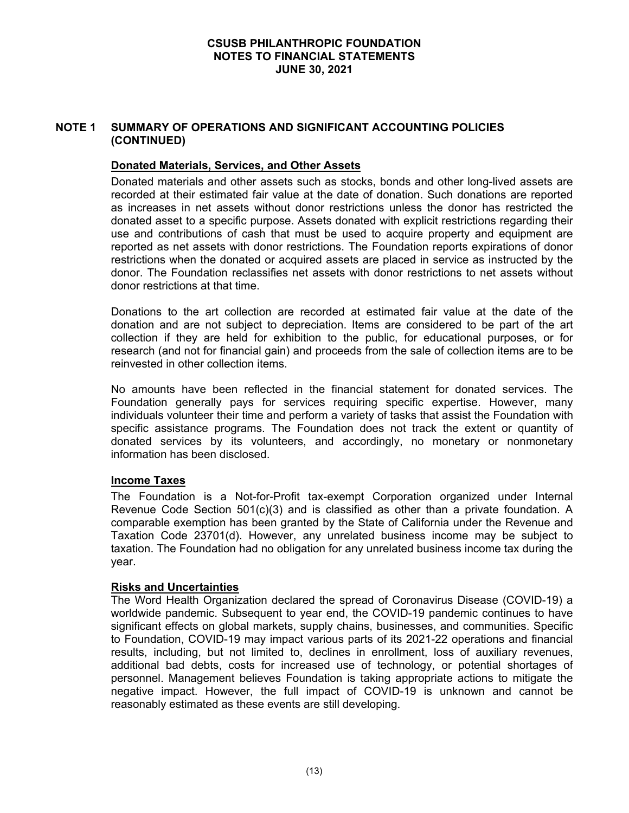# **NOTE 1 SUMMARY OF OPERATIONS AND SIGNIFICANT ACCOUNTING POLICIES (CONTINUED)**

# **Donated Materials, Services, and Other Assets**

Donated materials and other assets such as stocks, bonds and other long-lived assets are recorded at their estimated fair value at the date of donation. Such donations are reported as increases in net assets without donor restrictions unless the donor has restricted the donated asset to a specific purpose. Assets donated with explicit restrictions regarding their use and contributions of cash that must be used to acquire property and equipment are reported as net assets with donor restrictions. The Foundation reports expirations of donor restrictions when the donated or acquired assets are placed in service as instructed by the donor. The Foundation reclassifies net assets with donor restrictions to net assets without donor restrictions at that time.

Donations to the art collection are recorded at estimated fair value at the date of the donation and are not subject to depreciation. Items are considered to be part of the art collection if they are held for exhibition to the public, for educational purposes, or for research (and not for financial gain) and proceeds from the sale of collection items are to be reinvested in other collection items.

No amounts have been reflected in the financial statement for donated services. The Foundation generally pays for services requiring specific expertise. However, many individuals volunteer their time and perform a variety of tasks that assist the Foundation with specific assistance programs. The Foundation does not track the extent or quantity of donated services by its volunteers, and accordingly, no monetary or nonmonetary information has been disclosed.

#### **Income Taxes**

The Foundation is a Not-for-Profit tax-exempt Corporation organized under Internal Revenue Code Section 501(c)(3) and is classified as other than a private foundation. A comparable exemption has been granted by the State of California under the Revenue and Taxation Code 23701(d). However, any unrelated business income may be subject to taxation. The Foundation had no obligation for any unrelated business income tax during the year.

#### **Risks and Uncertainties**

The Word Health Organization declared the spread of Coronavirus Disease (COVID-19) a worldwide pandemic. Subsequent to year end, the COVID-19 pandemic continues to have significant effects on global markets, supply chains, businesses, and communities. Specific to Foundation, COVID-19 may impact various parts of its 2021-22 operations and financial results, including, but not limited to, declines in enrollment, loss of auxiliary revenues, additional bad debts, costs for increased use of technology, or potential shortages of personnel. Management believes Foundation is taking appropriate actions to mitigate the negative impact. However, the full impact of COVID-19 is unknown and cannot be reasonably estimated as these events are still developing.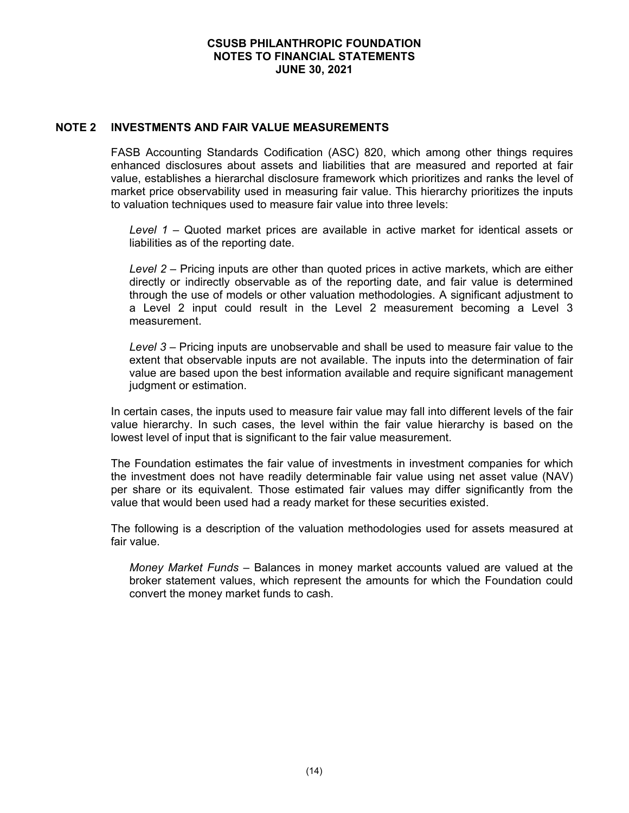#### **NOTE 2 INVESTMENTS AND FAIR VALUE MEASUREMENTS**

FASB Accounting Standards Codification (ASC) 820, which among other things requires enhanced disclosures about assets and liabilities that are measured and reported at fair value, establishes a hierarchal disclosure framework which prioritizes and ranks the level of market price observability used in measuring fair value. This hierarchy prioritizes the inputs to valuation techniques used to measure fair value into three levels:

*Level 1* – Quoted market prices are available in active market for identical assets or liabilities as of the reporting date.

*Level 2* – Pricing inputs are other than quoted prices in active markets, which are either directly or indirectly observable as of the reporting date, and fair value is determined through the use of models or other valuation methodologies. A significant adjustment to a Level 2 input could result in the Level 2 measurement becoming a Level 3 measurement.

*Level 3* – Pricing inputs are unobservable and shall be used to measure fair value to the extent that observable inputs are not available. The inputs into the determination of fair value are based upon the best information available and require significant management judgment or estimation.

In certain cases, the inputs used to measure fair value may fall into different levels of the fair value hierarchy. In such cases, the level within the fair value hierarchy is based on the lowest level of input that is significant to the fair value measurement.

The Foundation estimates the fair value of investments in investment companies for which the investment does not have readily determinable fair value using net asset value (NAV) per share or its equivalent. Those estimated fair values may differ significantly from the value that would been used had a ready market for these securities existed.

The following is a description of the valuation methodologies used for assets measured at fair value.

*Money Market Funds* – Balances in money market accounts valued are valued at the broker statement values, which represent the amounts for which the Foundation could convert the money market funds to cash.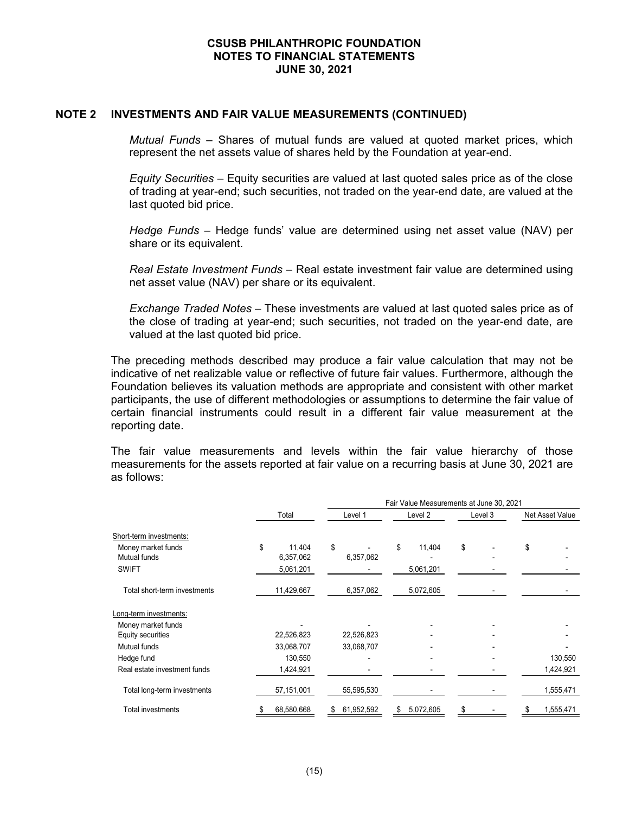#### **NOTE 2 INVESTMENTS AND FAIR VALUE MEASUREMENTS (CONTINUED)**

*Mutual Funds* – Shares of mutual funds are valued at quoted market prices, which represent the net assets value of shares held by the Foundation at year-end.

*Equity Securities* – Equity securities are valued at last quoted sales price as of the close of trading at year-end; such securities, not traded on the year-end date, are valued at the last quoted bid price.

*Hedge Funds* – Hedge funds' value are determined using net asset value (NAV) per share or its equivalent.

*Real Estate Investment Funds* – Real estate investment fair value are determined using net asset value (NAV) per share or its equivalent.

*Exchange Traded Notes –* These investments are valued at last quoted sales price as of the close of trading at year-end; such securities, not traded on the year-end date, are valued at the last quoted bid price.

The preceding methods described may produce a fair value calculation that may not be indicative of net realizable value or reflective of future fair values. Furthermore, although the Foundation believes its valuation methods are appropriate and consistent with other market participants, the use of different methodologies or assumptions to determine the fair value of certain financial instruments could result in a different fair value measurement at the reporting date.

The fair value measurements and levels within the fair value hierarchy of those measurements for the assets reported at fair value on a recurring basis at June 30, 2021 are as follows:

|                              |              | Fair Value Measurements at June 30, 2021 |                |         |                 |  |  |  |  |
|------------------------------|--------------|------------------------------------------|----------------|---------|-----------------|--|--|--|--|
|                              | Total        | Level 1                                  | Level 2        | Level 3 | Net Asset Value |  |  |  |  |
| Short-term investments:      |              |                                          |                |         |                 |  |  |  |  |
| Money market funds           | \$<br>11,404 | \$                                       | \$<br>11,404   | \$      | \$              |  |  |  |  |
| Mutual funds                 | 6,357,062    | 6,357,062                                |                |         |                 |  |  |  |  |
| <b>SWIFT</b>                 | 5,061,201    |                                          | 5,061,201      |         |                 |  |  |  |  |
| Total short-term investments | 11,429,667   | 6,357,062                                | 5,072,605      |         |                 |  |  |  |  |
| Long-term investments:       |              |                                          |                |         |                 |  |  |  |  |
| Money market funds           |              |                                          |                |         |                 |  |  |  |  |
| Equity securities            | 22,526,823   | 22,526,823                               |                |         |                 |  |  |  |  |
| Mutual funds                 | 33,068,707   | 33,068,707                               |                |         |                 |  |  |  |  |
| Hedge fund                   | 130,550      |                                          |                |         | 130,550         |  |  |  |  |
| Real estate investment funds | 1,424,921    |                                          |                |         | 1,424,921       |  |  |  |  |
| Total long-term investments  | 57,151,001   | 55,595,530                               |                |         | 1,555,471       |  |  |  |  |
| <b>Total investments</b>     | 68,580,668   | 61,952,592<br>\$                         | 5,072,605<br>S | S       | 1,555,471       |  |  |  |  |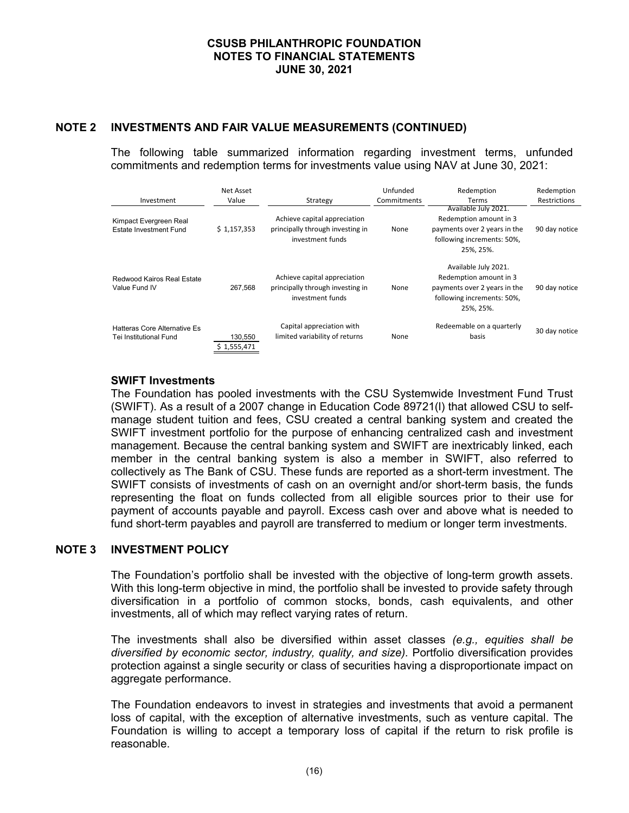# **NOTE 2 INVESTMENTS AND FAIR VALUE MEASUREMENTS (CONTINUED)**

The following table summarized information regarding investment terms, unfunded commitments and redemption terms for investments value using NAV at June 30, 2021:

| Investment                                             | Net Asset<br>Value     | Strategy                                                                             | Unfunded<br>Commitments | Redemption<br><b>Terms</b>                                                                                                | Redemption<br>Restrictions |
|--------------------------------------------------------|------------------------|--------------------------------------------------------------------------------------|-------------------------|---------------------------------------------------------------------------------------------------------------------------|----------------------------|
| Kimpact Evergreen Real<br>Estate Investment Fund       | \$1,157,353            | Achieve capital appreciation<br>principally through investing in<br>investment funds | None                    | Available July 2021.<br>Redemption amount in 3<br>payments over 2 years in the<br>following increments: 50%,<br>25%. 25%. | 90 day notice              |
| Redwood Kairos Real Estate<br>Value Fund IV            | 267.568                | Achieve capital appreciation<br>principally through investing in<br>investment funds | None                    | Available July 2021.<br>Redemption amount in 3<br>payments over 2 years in the<br>following increments: 50%,<br>25%. 25%. | 90 day notice              |
| Hatteras Core Alternative Es<br>Tei Institutional Fund | 130,550<br>\$1,555,471 | Capital appreciation with<br>limited variability of returns                          | None                    | Redeemable on a quarterly<br>basis                                                                                        | 30 day notice              |

## **SWIFT Investments**

The Foundation has pooled investments with the CSU Systemwide Investment Fund Trust (SWIFT). As a result of a 2007 change in Education Code 89721(l) that allowed CSU to selfmanage student tuition and fees, CSU created a central banking system and created the SWIFT investment portfolio for the purpose of enhancing centralized cash and investment management. Because the central banking system and SWIFT are inextricably linked, each member in the central banking system is also a member in SWIFT, also referred to collectively as The Bank of CSU. These funds are reported as a short-term investment. The SWIFT consists of investments of cash on an overnight and/or short-term basis, the funds representing the float on funds collected from all eligible sources prior to their use for payment of accounts payable and payroll. Excess cash over and above what is needed to fund short-term payables and payroll are transferred to medium or longer term investments.

#### **NOTE 3 INVESTMENT POLICY**

The Foundation's portfolio shall be invested with the objective of long-term growth assets. With this long-term objective in mind, the portfolio shall be invested to provide safety through diversification in a portfolio of common stocks, bonds, cash equivalents, and other investments, all of which may reflect varying rates of return.

The investments shall also be diversified within asset classes *(e.g., equities shall be diversified by economic sector, industry, quality, and size).* Portfolio diversification provides protection against a single security or class of securities having a disproportionate impact on aggregate performance.

The Foundation endeavors to invest in strategies and investments that avoid a permanent loss of capital, with the exception of alternative investments, such as venture capital. The Foundation is willing to accept a temporary loss of capital if the return to risk profile is reasonable.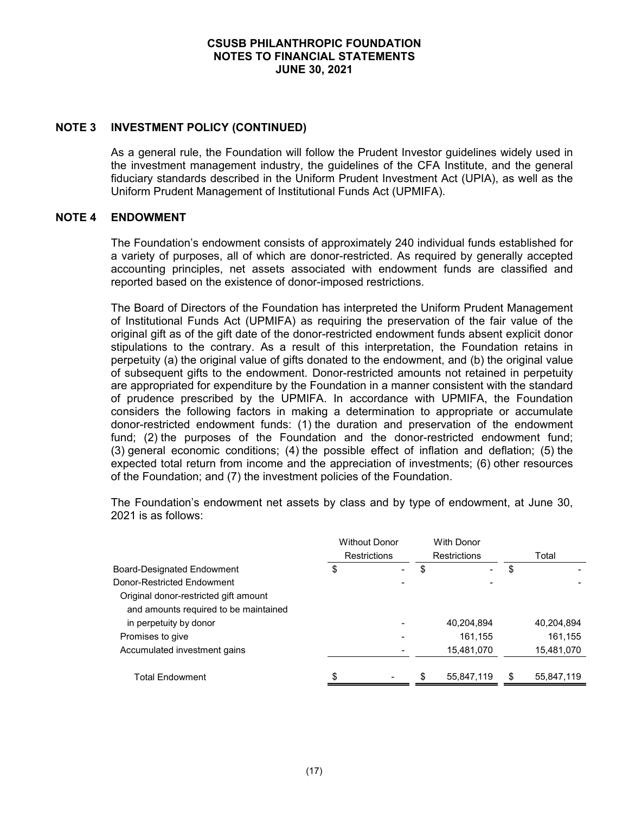## **NOTE 3 INVESTMENT POLICY (CONTINUED)**

As a general rule, the Foundation will follow the Prudent Investor guidelines widely used in the investment management industry, the guidelines of the CFA Institute, and the general fiduciary standards described in the Uniform Prudent Investment Act (UPIA), as well as the Uniform Prudent Management of Institutional Funds Act (UPMIFA).

#### **NOTE 4 ENDOWMENT**

The Foundation's endowment consists of approximately 240 individual funds established for a variety of purposes, all of which are donor-restricted. As required by generally accepted accounting principles, net assets associated with endowment funds are classified and reported based on the existence of donor-imposed restrictions.

The Board of Directors of the Foundation has interpreted the Uniform Prudent Management of Institutional Funds Act (UPMIFA) as requiring the preservation of the fair value of the original gift as of the gift date of the donor-restricted endowment funds absent explicit donor stipulations to the contrary. As a result of this interpretation, the Foundation retains in perpetuity (a) the original value of gifts donated to the endowment, and (b) the original value of subsequent gifts to the endowment. Donor-restricted amounts not retained in perpetuity are appropriated for expenditure by the Foundation in a manner consistent with the standard of prudence prescribed by the UPMIFA. In accordance with UPMIFA, the Foundation considers the following factors in making a determination to appropriate or accumulate donor-restricted endowment funds: (1) the duration and preservation of the endowment fund; (2) the purposes of the Foundation and the donor-restricted endowment fund; (3) general economic conditions; (4) the possible effect of inflation and deflation; (5) the expected total return from income and the appreciation of investments; (6) other resources of the Foundation; and (7) the investment policies of the Foundation.

The Foundation's endowment net assets by class and by type of endowment, at June 30, 2021 is as follows:

|                                       | <b>Without Donor</b> | <b>With Donor</b>   |            |
|---------------------------------------|----------------------|---------------------|------------|
|                                       | <b>Restrictions</b>  | <b>Restrictions</b> | Total      |
| Board-Designated Endowment            | \$                   | \$                  | \$         |
| Donor-Restricted Endowment            |                      |                     |            |
| Original donor-restricted gift amount |                      |                     |            |
| and amounts required to be maintained |                      |                     |            |
| in perpetuity by donor                |                      | 40,204,894          | 40,204,894 |
| Promises to give                      |                      | 161.155             | 161,155    |
| Accumulated investment gains          |                      | 15,481,070          | 15,481,070 |
|                                       |                      |                     |            |
| Total Endowment                       | \$                   | \$<br>55,847,119    | 55,847,119 |
|                                       |                      |                     |            |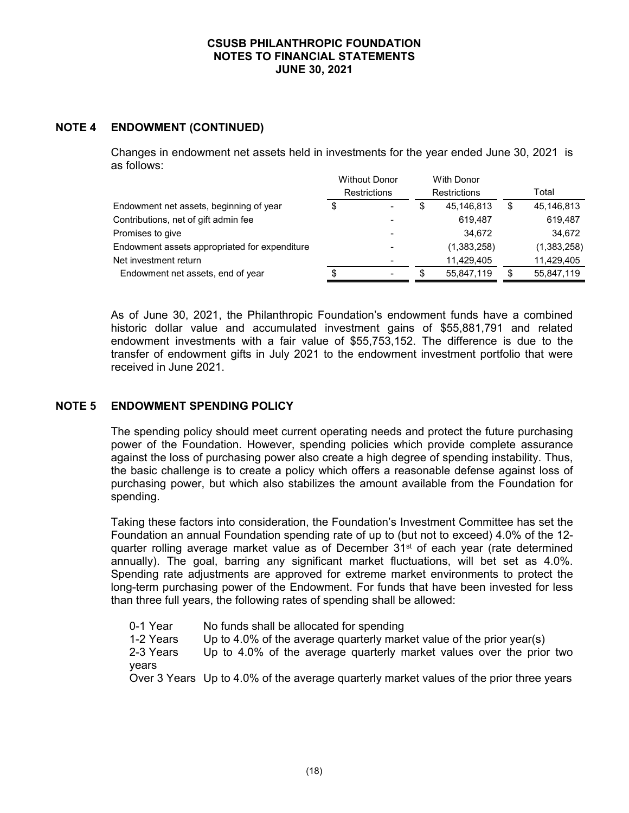# **NOTE 4 ENDOWMENT (CONTINUED)**

Changes in endowment net assets held in investments for the year ended June 30, 2021 is as follows:

|                                               | <b>Without Donor</b> |                          | <b>With Donor</b>   |  |             |
|-----------------------------------------------|----------------------|--------------------------|---------------------|--|-------------|
|                                               |                      | <b>Restrictions</b>      | <b>Restrictions</b> |  | Total       |
| Endowment net assets, beginning of year       | S                    | $\overline{\phantom{a}}$ | 45,146,813          |  | 45,146,813  |
| Contributions, net of gift admin fee          |                      |                          | 619.487             |  | 619.487     |
| Promises to give                              |                      |                          | 34.672              |  | 34,672      |
| Endowment assets appropriated for expenditure |                      |                          | (1,383,258)         |  | (1,383,258) |
| Net investment return                         |                      |                          | 11.429.405          |  | 11,429,405  |
| Endowment net assets, end of year             |                      | $\overline{\phantom{0}}$ | 55,847,119          |  | 55,847,119  |

As of June 30, 2021, the Philanthropic Foundation's endowment funds have a combined historic dollar value and accumulated investment gains of \$55,881,791 and related endowment investments with a fair value of \$55,753,152. The difference is due to the transfer of endowment gifts in July 2021 to the endowment investment portfolio that were received in June 2021.

# **NOTE 5 ENDOWMENT SPENDING POLICY**

The spending policy should meet current operating needs and protect the future purchasing power of the Foundation. However, spending policies which provide complete assurance against the loss of purchasing power also create a high degree of spending instability. Thus, the basic challenge is to create a policy which offers a reasonable defense against loss of purchasing power, but which also stabilizes the amount available from the Foundation for spending.

Taking these factors into consideration, the Foundation's Investment Committee has set the Foundation an annual Foundation spending rate of up to (but not to exceed) 4.0% of the 12 quarter rolling average market value as of December  $31<sup>st</sup>$  of each year (rate determined annually). The goal, barring any significant market fluctuations, will bet set as 4.0%. Spending rate adjustments are approved for extreme market environments to protect the long-term purchasing power of the Endowment. For funds that have been invested for less than three full years, the following rates of spending shall be allowed:

0-1 Year No funds shall be allocated for spending<br>1-2 Years Up to 4.0% of the average quarterly mark Up to 4.0% of the average quarterly market value of the prior year(s) 2-3 Years Up to 4.0% of the average quarterly market values over the prior two years Over 3 Years Up to 4.0% of the average quarterly market values of the prior three years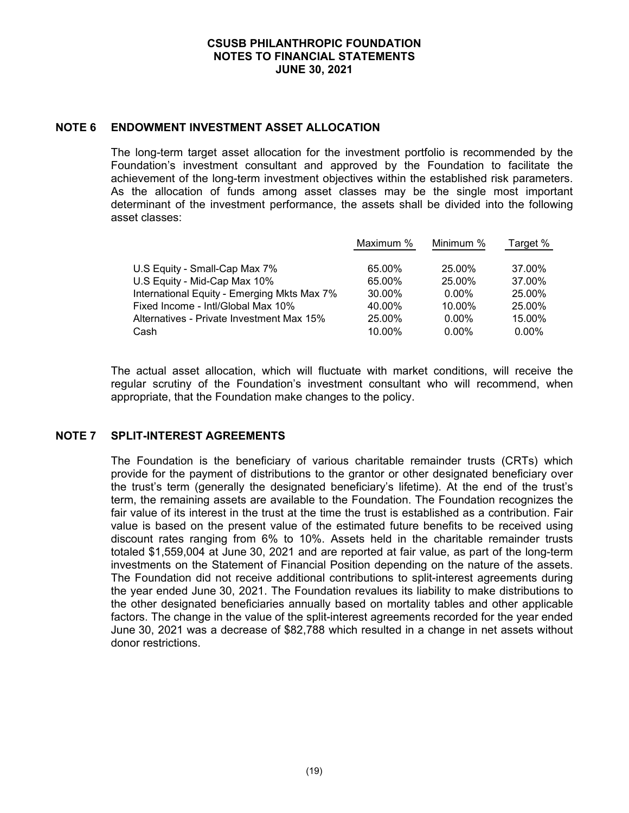#### **NOTE 6 ENDOWMENT INVESTMENT ASSET ALLOCATION**

The long-term target asset allocation for the investment portfolio is recommended by the Foundation's investment consultant and approved by the Foundation to facilitate the achievement of the long-term investment objectives within the established risk parameters. As the allocation of funds among asset classes may be the single most important determinant of the investment performance, the assets shall be divided into the following asset classes:

|                                             | Maximum % | Minimum % | Target % |
|---------------------------------------------|-----------|-----------|----------|
|                                             |           |           |          |
| U.S Equity - Small-Cap Max 7%               | 65.00%    | 25.00%    | 37.00%   |
| U.S Equity - Mid-Cap Max 10%                | 65.00%    | 25.00%    | 37.00%   |
| International Equity - Emerging Mkts Max 7% | 30.00%    | $0.00\%$  | 25.00%   |
| Fixed Income - Intl/Global Max 10%          | 40.00%    | 10.00%    | 25.00%   |
| Alternatives - Private Investment Max 15%   | 25.00%    | $0.00\%$  | 15.00%   |
| Cash                                        | 10.00%    | $0.00\%$  | $0.00\%$ |

The actual asset allocation, which will fluctuate with market conditions, will receive the regular scrutiny of the Foundation's investment consultant who will recommend, when appropriate, that the Foundation make changes to the policy.

# **NOTE 7 SPLIT-INTEREST AGREEMENTS**

The Foundation is the beneficiary of various charitable remainder trusts (CRTs) which provide for the payment of distributions to the grantor or other designated beneficiary over the trust's term (generally the designated beneficiary's lifetime). At the end of the trust's term, the remaining assets are available to the Foundation. The Foundation recognizes the fair value of its interest in the trust at the time the trust is established as a contribution. Fair value is based on the present value of the estimated future benefits to be received using discount rates ranging from 6% to 10%. Assets held in the charitable remainder trusts totaled \$1,559,004 at June 30, 2021 and are reported at fair value, as part of the long-term investments on the Statement of Financial Position depending on the nature of the assets. The Foundation did not receive additional contributions to split-interest agreements during the year ended June 30, 2021. The Foundation revalues its liability to make distributions to the other designated beneficiaries annually based on mortality tables and other applicable factors. The change in the value of the split-interest agreements recorded for the year ended June 30, 2021 was a decrease of \$82,788 which resulted in a change in net assets without donor restrictions.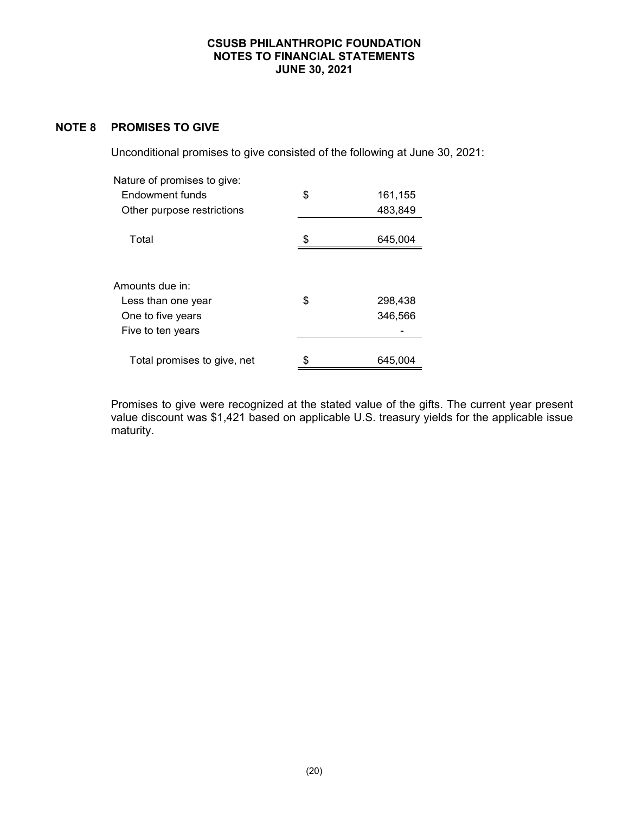# **NOTE 8 PROMISES TO GIVE**

Unconditional promises to give consisted of the following at June 30, 2021:

| Nature of promises to give:           |    |         |
|---------------------------------------|----|---------|
| Endowment funds                       | \$ | 161,155 |
| Other purpose restrictions            |    | 483,849 |
|                                       |    |         |
| Total                                 | \$ | 645,004 |
| Amounts due in:<br>Less than one year | \$ | 298,438 |
| One to five years                     |    | 346,566 |
| Five to ten years                     |    |         |
| Total promises to give, net           | S  | 645,004 |

Promises to give were recognized at the stated value of the gifts. The current year present value discount was \$1,421 based on applicable U.S. treasury yields for the applicable issue maturity.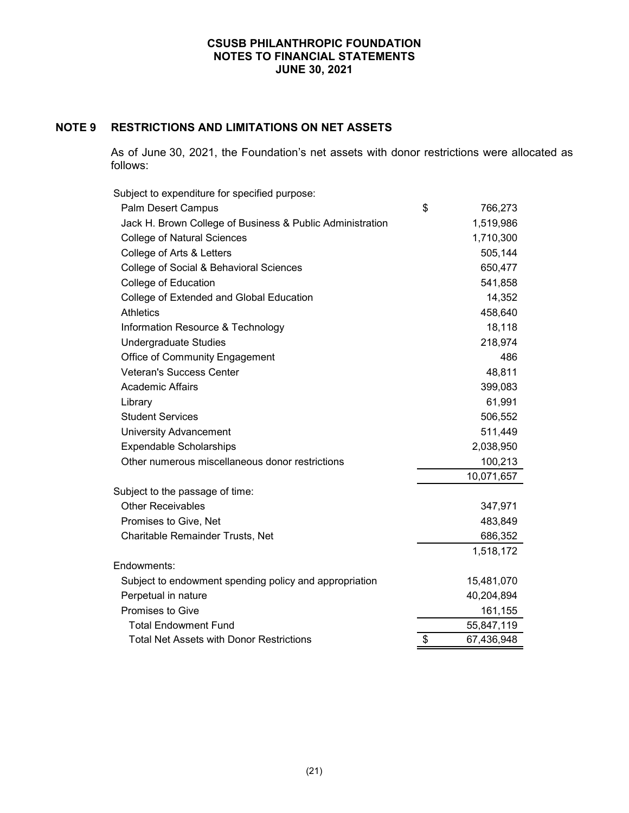# **NOTE 9 RESTRICTIONS AND LIMITATIONS ON NET ASSETS**

As of June 30, 2021, the Foundation's net assets with donor restrictions were allocated as follows:

| Subject to expenditure for specified purpose:             |                  |
|-----------------------------------------------------------|------------------|
| Palm Desert Campus                                        | \$<br>766,273    |
| Jack H. Brown College of Business & Public Administration | 1,519,986        |
| <b>College of Natural Sciences</b>                        | 1,710,300        |
| College of Arts & Letters                                 | 505,144          |
| College of Social & Behavioral Sciences                   | 650,477          |
| College of Education                                      | 541,858          |
| College of Extended and Global Education                  | 14,352           |
| <b>Athletics</b>                                          | 458,640          |
| Information Resource & Technology                         | 18,118           |
| <b>Undergraduate Studies</b>                              | 218,974          |
| Office of Community Engagement                            | 486              |
| <b>Veteran's Success Center</b>                           | 48,811           |
| <b>Academic Affairs</b>                                   | 399,083          |
| Library                                                   | 61,991           |
| <b>Student Services</b>                                   | 506,552          |
| <b>University Advancement</b>                             | 511,449          |
| <b>Expendable Scholarships</b>                            | 2,038,950        |
| Other numerous miscellaneous donor restrictions           | 100,213          |
|                                                           | 10,071,657       |
| Subject to the passage of time:                           |                  |
| <b>Other Receivables</b>                                  | 347,971          |
| Promises to Give, Net                                     | 483,849          |
| Charitable Remainder Trusts, Net                          | 686,352          |
|                                                           | 1,518,172        |
| Endowments:                                               |                  |
| Subject to endowment spending policy and appropriation    | 15,481,070       |
| Perpetual in nature                                       | 40,204,894       |
| Promises to Give                                          | 161,155          |
| <b>Total Endowment Fund</b>                               | 55,847,119       |
| <b>Total Net Assets with Donor Restrictions</b>           | \$<br>67,436,948 |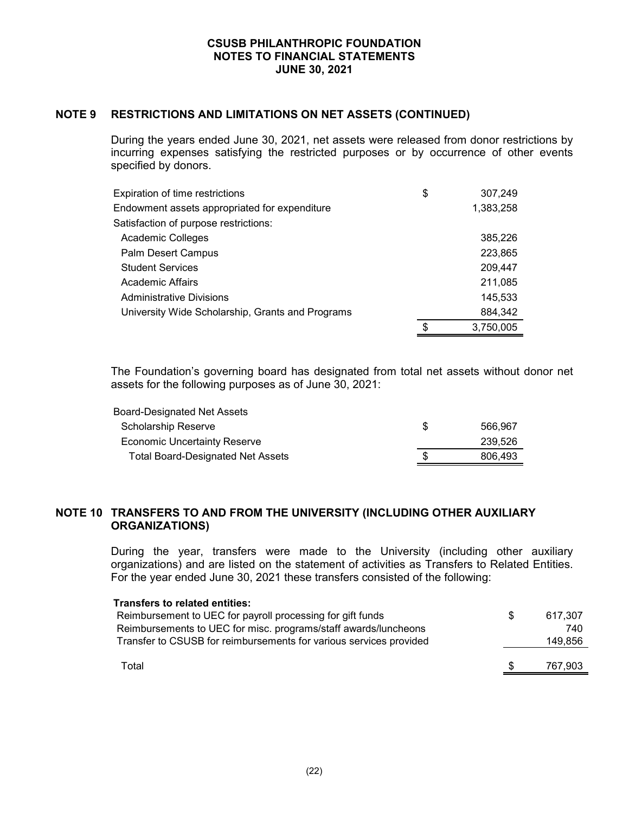# **NOTE 9 RESTRICTIONS AND LIMITATIONS ON NET ASSETS (CONTINUED)**

During the years ended June 30, 2021, net assets were released from donor restrictions by incurring expenses satisfying the restricted purposes or by occurrence of other events specified by donors.

| Expiration of time restrictions                  | \$<br>307,249   |
|--------------------------------------------------|-----------------|
| Endowment assets appropriated for expenditure    | 1,383,258       |
| Satisfaction of purpose restrictions:            |                 |
| Academic Colleges                                | 385,226         |
| <b>Palm Desert Campus</b>                        | 223,865         |
| <b>Student Services</b>                          | 209,447         |
| Academic Affairs                                 | 211,085         |
| <b>Administrative Divisions</b>                  | 145,533         |
| University Wide Scholarship, Grants and Programs | 884,342         |
|                                                  | \$<br>3,750,005 |

The Foundation's governing board has designated from total net assets without donor net assets for the following purposes as of June 30, 2021:

| Board-Designated Net Assets              |    |         |
|------------------------------------------|----|---------|
| <b>Scholarship Reserve</b>               | -S | 566.967 |
| <b>Economic Uncertainty Reserve</b>      |    | 239.526 |
| <b>Total Board-Designated Net Assets</b> |    | 806.493 |

## **NOTE 10 TRANSFERS TO AND FROM THE UNIVERSITY (INCLUDING OTHER AUXILIARY ORGANIZATIONS)**

During the year, transfers were made to the University (including other auxiliary organizations) and are listed on the statement of activities as Transfers to Related Entities. For the year ended June 30, 2021 these transfers consisted of the following:

| <b>Transfers to related entities:</b><br>Reimbursement to UEC for payroll processing for gift funds<br>Reimbursements to UEC for misc. programs/staff awards/luncheons<br>Transfer to CSUSB for reimbursements for various services provided | S | 617.307<br>740<br>149,856 |
|----------------------------------------------------------------------------------------------------------------------------------------------------------------------------------------------------------------------------------------------|---|---------------------------|
| Total                                                                                                                                                                                                                                        |   | 767,903                   |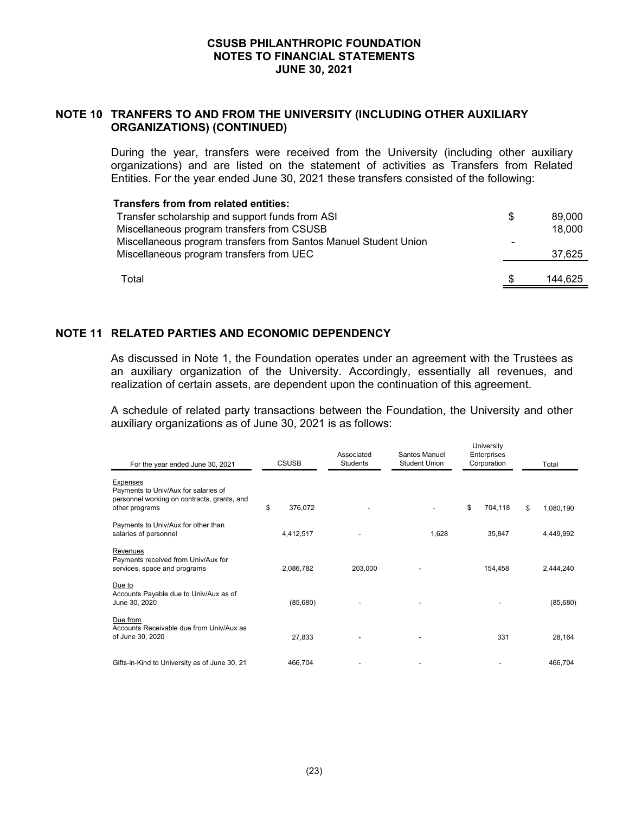# **NOTE 10 TRANFERS TO AND FROM THE UNIVERSITY (INCLUDING OTHER AUXILIARY ORGANIZATIONS) (CONTINUED)**

During the year, transfers were received from the University (including other auxiliary organizations) and are listed on the statement of activities as Transfers from Related Entities. For the year ended June 30, 2021 these transfers consisted of the following:

#### **Transfers from from related entities:**

| Transfer scholarship and support funds from ASI<br>Miscellaneous program transfers from CSUSB                | S | 89.000<br>18,000 |
|--------------------------------------------------------------------------------------------------------------|---|------------------|
| Miscellaneous program transfers from Santos Manuel Student Union<br>Miscellaneous program transfers from UEC |   | 37,625           |
| Total                                                                                                        |   | 144.625          |

# **NOTE 11 RELATED PARTIES AND ECONOMIC DEPENDENCY**

As discussed in Note 1, the Foundation operates under an agreement with the Trustees as an auxiliary organization of the University. Accordingly, essentially all revenues, and realization of certain assets, are dependent upon the continuation of this agreement.

A schedule of related party transactions between the Foundation, the University and other auxiliary organizations as of June 30, 2021 is as follows:

University

| For the year ended June 30, 2021                                                                                         | <b>CSUSB</b>  | Associated<br>Students | Santos Manuel<br><b>Student Union</b> | UTIVEISILY<br>Enterprises<br>Corporation | Total           |
|--------------------------------------------------------------------------------------------------------------------------|---------------|------------------------|---------------------------------------|------------------------------------------|-----------------|
| <b>Expenses</b><br>Payments to Univ/Aux for salaries of<br>personnel working on contracts, grants, and<br>other programs | \$<br>376,072 |                        |                                       | \$<br>704,118                            | \$<br>1,080,190 |
| Payments to Univ/Aux for other than<br>salaries of personnel                                                             | 4,412,517     |                        | 1,628                                 | 35,847                                   | 4,449,992       |
| Revenues<br>Payments received from Univ/Aux for<br>services, space and programs                                          | 2,086,782     | 203,000                |                                       | 154,458                                  | 2,444,240       |
| Due to<br>Accounts Payable due to Univ/Aux as of<br>June 30, 2020                                                        | (85,680)      |                        |                                       |                                          | (85, 680)       |
| Due from<br>Accounts Receivable due from Univ/Aux as<br>of June 30, 2020                                                 | 27,833        |                        |                                       | 331                                      | 28,164          |
| Gifts-in-Kind to University as of June 30, 21                                                                            | 466,704       |                        |                                       |                                          | 466,704         |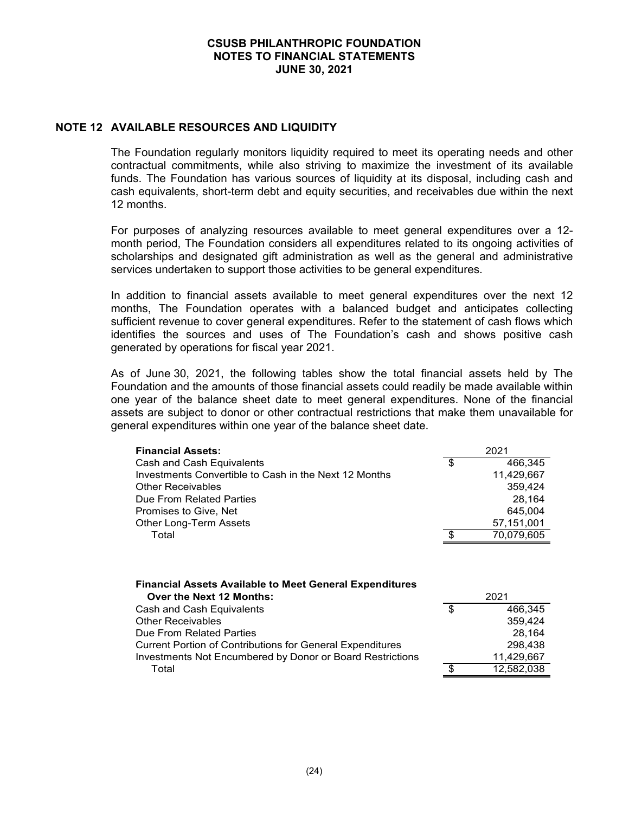## **NOTE 12 AVAILABLE RESOURCES AND LIQUIDITY**

The Foundation regularly monitors liquidity required to meet its operating needs and other contractual commitments, while also striving to maximize the investment of its available funds. The Foundation has various sources of liquidity at its disposal, including cash and cash equivalents, short-term debt and equity securities, and receivables due within the next 12 months.

For purposes of analyzing resources available to meet general expenditures over a 12 month period, The Foundation considers all expenditures related to its ongoing activities of scholarships and designated gift administration as well as the general and administrative services undertaken to support those activities to be general expenditures.

In addition to financial assets available to meet general expenditures over the next 12 months, The Foundation operates with a balanced budget and anticipates collecting sufficient revenue to cover general expenditures. Refer to the statement of cash flows which identifies the sources and uses of The Foundation's cash and shows positive cash generated by operations for fiscal year 2021.

As of June 30, 2021, the following tables show the total financial assets held by The Foundation and the amounts of those financial assets could readily be made available within one year of the balance sheet date to meet general expenditures. None of the financial assets are subject to donor or other contractual restrictions that make them unavailable for general expenditures within one year of the balance sheet date.

| <b>Financial Assets:</b>                              | 2021          |
|-------------------------------------------------------|---------------|
| Cash and Cash Equivalents                             | \$<br>466.345 |
| Investments Convertible to Cash in the Next 12 Months | 11,429,667    |
| <b>Other Receivables</b>                              | 359,424       |
| Due From Related Parties                              | 28.164        |
| Promises to Give, Net                                 | 645,004       |
| Other Long-Term Assets                                | 57,151,001    |
| Total                                                 | 70,079,605    |
|                                                       |               |

#### **Financial Assets Available to Meet General Expenditures**

| Over the Next 12 Months:                                         |     | 2021       |
|------------------------------------------------------------------|-----|------------|
| Cash and Cash Equivalents                                        | \$. | 466.345    |
| <b>Other Receivables</b>                                         |     | 359.424    |
| Due From Related Parties                                         |     | 28.164     |
| <b>Current Portion of Contributions for General Expenditures</b> |     | 298.438    |
| Investments Not Encumbered by Donor or Board Restrictions        |     | 11.429.667 |
| Total                                                            |     | 12.582.038 |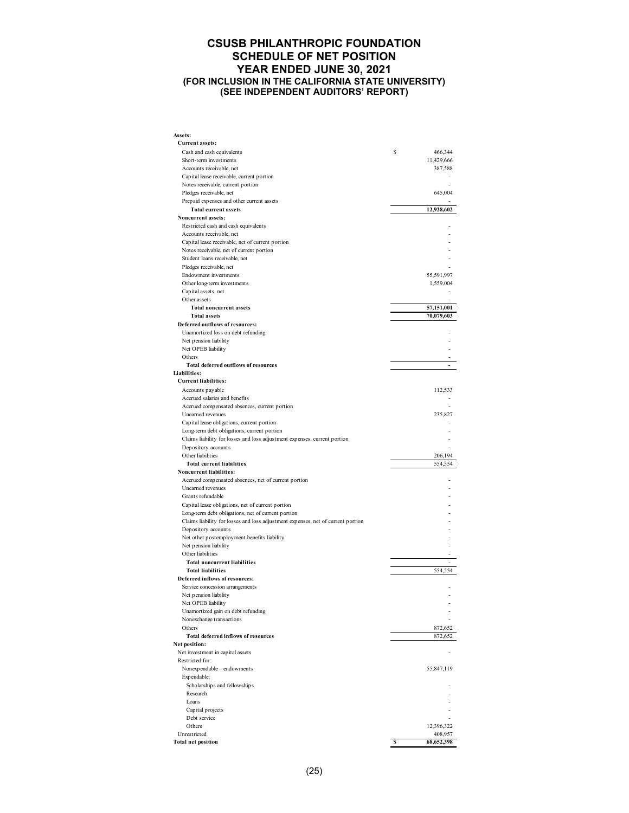#### **CSUSB PHILANTHROPIC FOUNDATION SCHEDULE OF NET POSITION YEAR ENDED JUNE 30, 2021 (FOR INCLUSION IN THE CALIFORNIA STATE UNIVERSITY) (SEE INDEPENDENT AUDITORS' REPORT)**

| Assets:                                                                          |    |                          |
|----------------------------------------------------------------------------------|----|--------------------------|
| <b>Current assets:</b>                                                           |    |                          |
| Cash and cash equivalents                                                        | s  | 466,344                  |
| Short-term investments                                                           |    | 11,429,666               |
| Accounts receivable, net                                                         |    | 387,588                  |
| Capital lease receivable, current portion<br>Notes receivable, current portion   |    |                          |
| Pledges receivable, net                                                          |    | 645,004                  |
| Prepaid expenses and other current assets                                        |    |                          |
| <b>Total current assets</b>                                                      |    | 12,928,602               |
| Noncurrent assets:                                                               |    |                          |
| Restricted cash and cash equivalents                                             |    |                          |
| Accounts receivable, net                                                         |    |                          |
| Capital lease receivable, net of current portion                                 |    |                          |
| Notes receivable, net of current portion                                         |    |                          |
| Student loans receivable, net                                                    |    |                          |
| Pledges receivable, net                                                          |    |                          |
| Endowment investments                                                            |    | 55,591,997               |
| Other long-term investments                                                      |    | 1,559,004                |
| Capital assets, net                                                              |    |                          |
| Other assets                                                                     |    |                          |
| <b>Total noncurrent assets</b><br><b>Total assets</b>                            |    | 57,151,001<br>70,079,603 |
| Deferred outflows of resources:                                                  |    |                          |
| Unamortized loss on debt refunding                                               |    |                          |
| Net pension liability                                                            |    |                          |
| Net OPEB liability                                                               |    |                          |
| Others                                                                           |    |                          |
| <b>Total deferred outflows of resources</b>                                      |    |                          |
| Liabilities:                                                                     |    |                          |
| <b>Current liabilities:</b>                                                      |    |                          |
| Accounts payable                                                                 |    | 112,533                  |
| Accrued salaries and benefits                                                    |    |                          |
| Accrued compensated absences, current portion                                    |    |                          |
| Unearned revenues                                                                |    | 235,827                  |
| Capital lease obligations, current portion                                       |    |                          |
| Long-term debt obligations, current portion                                      |    |                          |
| Claims liability for losses and loss adjustment expenses, current portion        |    |                          |
| Depository accounts<br>Other liabilities                                         |    | 206,194                  |
| <b>Total current liabilities</b>                                                 |    | 554,554                  |
| Noncurrent liabilities:                                                          |    |                          |
| Accrued compensated absences, net of current portion                             |    |                          |
| Unearned revenues                                                                |    |                          |
| Grants refundable                                                                |    |                          |
| Capital lease obligations, net of current portion                                |    |                          |
| Long-term debt obligations, net of current portion                               |    |                          |
| Claims liability for losses and loss adjustment expenses, net of current portion |    |                          |
| Depository accounts                                                              |    |                          |
| Net other postemployment benefits liability                                      |    |                          |
| Net pension liability                                                            |    |                          |
| Other liabilities                                                                |    |                          |
| <b>Total noncurrent liabilities</b>                                              |    |                          |
| <b>Total liabilities</b><br>Deferred inflows of resources:                       |    | 554,554                  |
|                                                                                  |    |                          |
| Service concession arrangements<br>Net pension liability                         |    |                          |
| Net OPEB liability                                                               |    |                          |
| Unamortized gain on debt refunding                                               |    |                          |
| Nonexchange transactions                                                         |    |                          |
| Others                                                                           |    | 872,652                  |
| <b>Total deferred inflows of resources</b>                                       |    | 872,652                  |
| Net position:                                                                    |    |                          |
| Net investment in capital assets                                                 |    |                          |
| Restricted for:                                                                  |    |                          |
| Nonexpendable - endowments                                                       |    | 55,847,119               |
| Expendable:                                                                      |    |                          |
| Scholarships and fellowships                                                     |    |                          |
| Research                                                                         |    |                          |
| Loans                                                                            |    |                          |
| Capital projects<br>Debt service                                                 |    |                          |
| Others                                                                           |    | 12,396,322               |
| Unrestricted                                                                     |    | 408,957                  |
| <b>Total net position</b>                                                        | -S | 68,652,398               |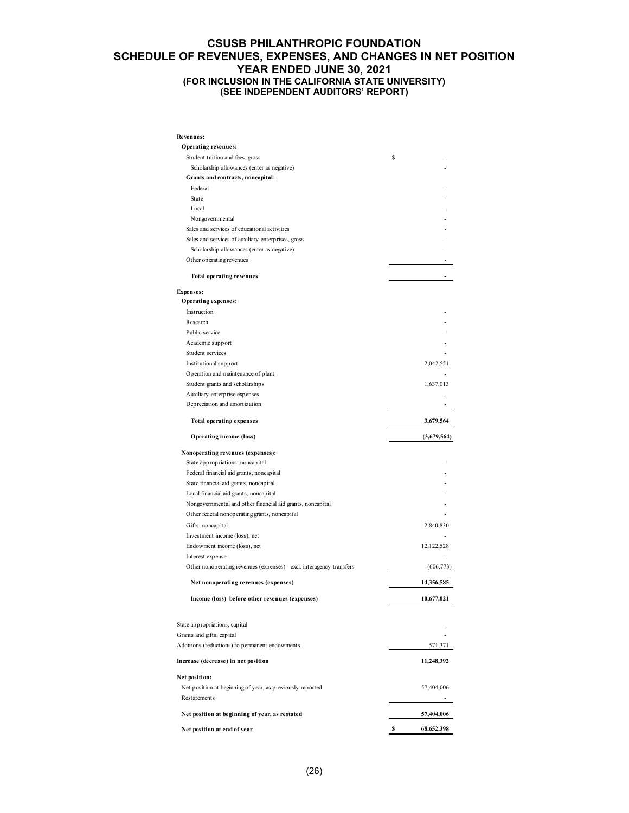#### **CSUSB PHILANTHROPIC FOUNDATION SCHEDULE OF REVENUES, EXPENSES, AND CHANGES IN NET POSITION YEAR ENDED JUNE 30, 2021 (FOR INCLUSION IN THE CALIFORNIA STATE UNIVERSITY) (SEE INDEPENDENT AUDITORS' REPORT)**

| Revenues:                                                            |              |
|----------------------------------------------------------------------|--------------|
| <b>Operating revenues:</b>                                           |              |
| Student tuition and fees, gross                                      | \$           |
| Scholarship allowances (enter as negative)                           |              |
| Grants and contracts, noncapital:                                    |              |
| Federal                                                              |              |
| State                                                                |              |
| Local                                                                |              |
| Nongovernmental                                                      |              |
| Sales and services of educational activities                         |              |
| Sales and services of auxiliary enterprises, gross                   |              |
| Scholarship allowances (enter as negative)                           |              |
| Other operating revenues                                             |              |
| <b>Total operating revenues</b>                                      |              |
| <b>Expenses:</b>                                                     |              |
| Operating expenses:                                                  |              |
| Instruction                                                          |              |
| Research                                                             |              |
| Public service                                                       |              |
| Academic support                                                     |              |
| Student services                                                     |              |
| Institutional support                                                | 2,042,551    |
| Operation and maintenance of plant                                   |              |
| Student grants and scholarships                                      | 1,637,013    |
| Auxiliary enterprise expenses                                        |              |
| Depreciation and amortization                                        |              |
| <b>Total operating expenses</b>                                      | 3,679,564    |
| <b>Operating income (loss)</b>                                       | (3,679,564)  |
| Nonoperating revenues (expenses):                                    |              |
| State appropriations, noncapital                                     |              |
| Federal financial aid grants, noncapital                             |              |
| State financial aid grants, noncapital                               |              |
| Local financial aid grants, noncapital                               |              |
| Nongovernmental and other financial aid grants, noncapital           |              |
| Other federal nonoperating grants, noncapital                        |              |
| Gifts, noncapital                                                    | 2,840,830    |
| Investment income (loss), net                                        |              |
| Endowment income (loss), net                                         | 12, 122, 528 |
| Interest expense                                                     |              |
| Other nonoperating revenues (expenses) - excl. interagency transfers | (606, 773)   |
| Net nonoperating revenues (expenses)                                 | 14,356,585   |
| Income (loss) before other revenues (expenses)                       | 10,677,021   |
|                                                                      |              |
| State appropriations, capital                                        |              |
| Grants and gifts, capital                                            |              |
| Additions (reductions) to permanent endowments                       | 571,371      |
| Increase (decrease) in net position                                  | 11,248,392   |
| Net position:                                                        |              |
| Net position at beginning of year, as previously reported            | 57,404,006   |
| Restatements                                                         |              |
| Net position at beginning of year, as restated                       | 57,404,006   |
| Net position at end of year                                          | 68,652,398   |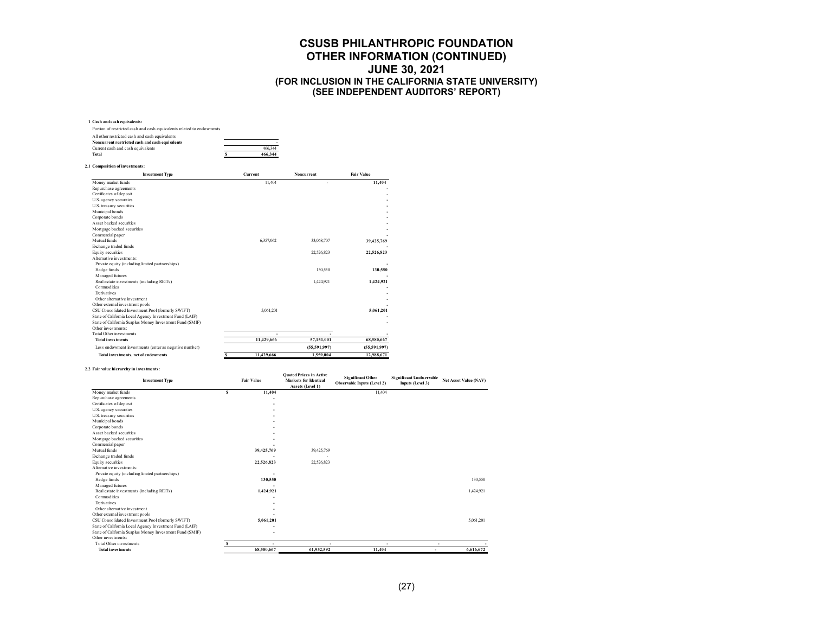#### **1 Cash and cash equivalents:**

**2.1 Composition of investments:**

| Portion of restricted cash and cash equivalents related to endowments |         |
|-----------------------------------------------------------------------|---------|
| All other restricted cash and cash equivalents                        |         |
| Noncurrent restricted cash and cash equivalents                       |         |
| Current cash and cash equivalents                                     | 466.344 |
| Total                                                                 | 466.344 |

| <b>Investment Type</b>                                   | Current         | <b>Noncurrent</b> | <b>Fair Value</b> |  |
|----------------------------------------------------------|-----------------|-------------------|-------------------|--|
| Money market funds                                       | 11.404          | $\overline{a}$    | 11,404            |  |
| Repurchase agreements                                    |                 |                   |                   |  |
| Certificates of deposit                                  |                 |                   |                   |  |
| U.S. agency securities                                   |                 |                   |                   |  |
| U.S. treasury securities                                 |                 |                   |                   |  |
| Municipal bonds                                          |                 |                   |                   |  |
| Corporate bonds                                          |                 |                   |                   |  |
| Asset backed securities                                  |                 |                   |                   |  |
| Mortgage backed securities                               |                 |                   |                   |  |
| Commercial paper                                         |                 |                   |                   |  |
| Mutual funds                                             | 6,357,062       | 33,068,707        | 39,425,769        |  |
| Exchange traded funds                                    |                 |                   |                   |  |
| Equity securities                                        |                 | 22,526,823        | 22,526,823        |  |
| Alternative investments:                                 |                 |                   |                   |  |
| Private equity (including limited partnerships)          |                 |                   |                   |  |
| Hedge funds                                              |                 | 130.550           | 130,550           |  |
| Managed futures                                          |                 |                   |                   |  |
| Real estate investments (including REITs)                |                 | 1,424,921         | 1,424,921         |  |
| Commodities                                              |                 |                   |                   |  |
| Derivatives                                              |                 |                   |                   |  |
| Other alternative investment                             |                 |                   |                   |  |
| Other external investment pools                          |                 |                   |                   |  |
| CSU Consolidated Investment Pool (formerly SWIFT)        | 5.061.201       |                   | 5.061.201         |  |
| State of California Local Agency Investment Fund (LAIF)  |                 |                   |                   |  |
| State of California Surplus Money Investment Fund (SMIF) |                 |                   |                   |  |
| Other investments:                                       |                 |                   |                   |  |
| <b>Total Other investments</b>                           |                 |                   |                   |  |
| <b>Total investments</b>                                 | 11,429,666      | 57,151,001        | 68,580,667        |  |
| Less endowment investments (enter as negative number)    |                 | (55,591,997)      | (55,591,997)      |  |
| Total investments, net of endowments                     | 11,429,666<br>s | 1,559,004         | 12.988.671        |  |

#### **2.2 Fair value hierarchy in investments:**

| <b>Investment Type</b>                                   |   | <b>Fair Value</b> | <b>Ouoted Prices in Active</b><br><b>Markets for Identical</b><br>Assets (Level 1) | <b>Significant Other</b><br>Observable Inputs (Level 2) | <b>Significant Unobservable</b><br>Inputs (Level 3) | <b>Net Asset Value (NAV)</b> |
|----------------------------------------------------------|---|-------------------|------------------------------------------------------------------------------------|---------------------------------------------------------|-----------------------------------------------------|------------------------------|
| Money market funds                                       | s | 11,404            |                                                                                    | 11.404                                                  |                                                     |                              |
| Repurchase agreements                                    |   |                   |                                                                                    |                                                         |                                                     |                              |
| Certificates of deposit                                  |   |                   |                                                                                    |                                                         |                                                     |                              |
| U.S. agency securities                                   |   |                   |                                                                                    |                                                         |                                                     |                              |
| U.S. treasury securities                                 |   |                   |                                                                                    |                                                         |                                                     |                              |
| Municipal bonds                                          |   |                   |                                                                                    |                                                         |                                                     |                              |
| Corporate bonds                                          |   |                   |                                                                                    |                                                         |                                                     |                              |
| Asset backed securities                                  |   |                   |                                                                                    |                                                         |                                                     |                              |
| Mortgage backed securities                               |   |                   |                                                                                    |                                                         |                                                     |                              |
| Commercial paper                                         |   |                   |                                                                                    |                                                         |                                                     |                              |
| Mutual funds                                             |   | 39,425,769        | 39,425,769                                                                         |                                                         |                                                     |                              |
| Exchange traded funds                                    |   |                   |                                                                                    |                                                         |                                                     |                              |
| Equity securities                                        |   | 22,526,823        | 22,526,823                                                                         |                                                         |                                                     |                              |
| Alternative investments:                                 |   |                   |                                                                                    |                                                         |                                                     |                              |
| Private equity (including limited partnerships)          |   |                   |                                                                                    |                                                         |                                                     |                              |
| Hedge funds                                              |   | 130,550           |                                                                                    |                                                         |                                                     | 130.550                      |
| Managed futures                                          |   |                   |                                                                                    |                                                         |                                                     |                              |
| Real estate investments (including REITs)                |   | 1,424,921         |                                                                                    |                                                         |                                                     | 1.424.921                    |
| Commodities                                              |   |                   |                                                                                    |                                                         |                                                     |                              |
| Derivatives                                              |   |                   |                                                                                    |                                                         |                                                     |                              |
| Other alternative investment                             |   |                   |                                                                                    |                                                         |                                                     |                              |
| Other external investment pools                          |   |                   |                                                                                    |                                                         |                                                     |                              |
| CSU Consolidated Investment Pool (formerly SWIFT)        |   | 5,061,201         |                                                                                    |                                                         |                                                     | 5.061.201                    |
| State of California Local Agency Investment Fund (LAIF)  |   |                   |                                                                                    |                                                         |                                                     |                              |
| State of California Surplus Money Investment Fund (SMIF) |   |                   |                                                                                    |                                                         |                                                     |                              |
| Other investments:                                       |   |                   |                                                                                    |                                                         |                                                     |                              |
| <b>Total Other investments</b>                           |   |                   |                                                                                    |                                                         |                                                     |                              |
| <b>Total investments</b>                                 |   | 68,580,667        | 61,952,592                                                                         | 11,404                                                  |                                                     | 6,616,672                    |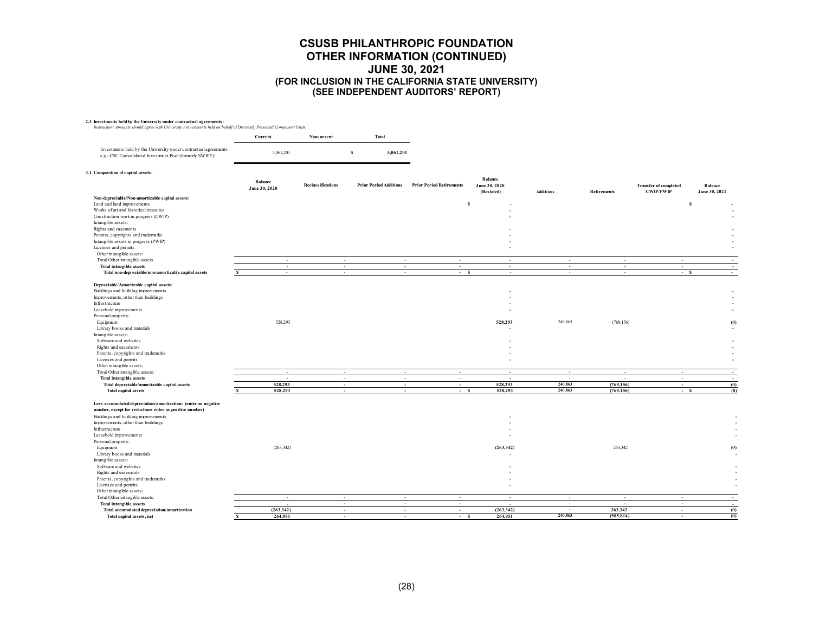|                                                                                                                             | Current                         | Noncurrent               | <b>Total</b>                  |                                 |                                               |                          |                    |                                                  |                          |
|-----------------------------------------------------------------------------------------------------------------------------|---------------------------------|--------------------------|-------------------------------|---------------------------------|-----------------------------------------------|--------------------------|--------------------|--------------------------------------------------|--------------------------|
| Investments held by the University under contractual agreements<br>e.g - CSU Consolidated Investment Pool (formerly SWIFT): | 5,061,201                       |                          | $\mathbf{s}$<br>5,061,201     |                                 |                                               |                          |                    |                                                  |                          |
| 3.1 Composition of capital assets:                                                                                          |                                 |                          |                               |                                 |                                               |                          |                    |                                                  |                          |
|                                                                                                                             | <b>Balance</b><br>June 30, 2020 | <b>Reclassifications</b> | <b>Prior Period Additions</b> | <b>Prior Period Retirements</b> | <b>Balance</b><br>June 30, 2020<br>(Restated) | <b>Additions</b>         | <b>Retirements</b> | <b>Transfer of completed</b><br><b>CWIP/PWIP</b> | Balance<br>June 30, 2021 |
| Non-depreciable/Non-amortizable capital assets:                                                                             |                                 |                          |                               |                                 |                                               |                          |                    |                                                  |                          |
| Land and land improvements                                                                                                  |                                 |                          |                               | $\mathbf{s}$                    |                                               |                          |                    | s                                                |                          |
| Works of art and historical treasures                                                                                       |                                 |                          |                               |                                 |                                               |                          |                    |                                                  |                          |
| Construction work in progress (CWIP)<br>Intangible assets:                                                                  |                                 |                          |                               |                                 |                                               |                          |                    |                                                  |                          |
| Rights and easements                                                                                                        |                                 |                          |                               |                                 |                                               |                          |                    |                                                  |                          |
| Patents, copyrights and trademarks                                                                                          |                                 |                          |                               |                                 |                                               |                          |                    |                                                  |                          |
| Intangible assets in progress (PWIP)                                                                                        |                                 |                          |                               |                                 |                                               |                          |                    |                                                  |                          |
| Licenses and permits                                                                                                        |                                 |                          |                               |                                 |                                               |                          |                    |                                                  |                          |
| Other intangible assets:                                                                                                    |                                 |                          |                               |                                 |                                               |                          |                    |                                                  |                          |
| Total Other intangible assets<br><b>Total intangible assets</b>                                                             | $\sim$<br>$\sim$                | $\sim$<br>$\sim$         | $\sim$<br>$\sim$              | $\sim$<br>$\sim$                | $\sim$<br>$\sim$                              | $\sim$<br>$\sim$         | $\sim$<br>$\sim$   | $\sim$<br>$\sim$                                 | $\sim$                   |
| Total non-depreciable/non-amortizable capital assets                                                                        | $\sim$                          | $\sim$                   | $\sim$                        | $- S$                           | $\overline{a}$                                | $\sim$                   | $\sim$             | $- S$                                            | $\sim$                   |
|                                                                                                                             |                                 |                          |                               |                                 |                                               |                          |                    |                                                  |                          |
| Depreciable/Amortizable capital assets:                                                                                     |                                 |                          |                               |                                 |                                               |                          |                    |                                                  |                          |
| Buildings and building improvements                                                                                         |                                 |                          |                               |                                 |                                               |                          |                    |                                                  |                          |
| Improvements, other than buildings                                                                                          |                                 |                          |                               |                                 |                                               |                          |                    |                                                  |                          |
| Infrastructure                                                                                                              |                                 |                          |                               |                                 |                                               |                          |                    |                                                  |                          |
| Leasehold improvements                                                                                                      |                                 |                          |                               |                                 |                                               |                          |                    |                                                  |                          |
| Personal property:<br>Equipment                                                                                             | 528,293                         |                          |                               |                                 | 528,293                                       | 240,863                  | (769, 156)         |                                                  | (0)                      |
| Library books and materials                                                                                                 |                                 |                          |                               |                                 |                                               |                          |                    |                                                  |                          |
| Intangible assets:                                                                                                          |                                 |                          |                               |                                 |                                               |                          |                    |                                                  |                          |
| Software and websites                                                                                                       |                                 |                          |                               |                                 |                                               |                          |                    |                                                  |                          |
| Rights and easements                                                                                                        |                                 |                          |                               |                                 |                                               |                          |                    |                                                  |                          |
| Patents, copyrights and trademarks                                                                                          |                                 |                          |                               |                                 |                                               |                          |                    |                                                  |                          |
| Licenses and permits                                                                                                        |                                 |                          |                               |                                 |                                               |                          |                    |                                                  |                          |
| Other intangible assets:<br>Total Other intangible assets:                                                                  | $\sim$                          | $\sim$                   | $\sim$                        | $\sim$                          | $\overline{\phantom{a}}$                      | $\sim$                   | $\sim$             | $\sim$                                           | $\overline{a}$           |
| <b>Total intangible assets</b>                                                                                              | $\overline{\phantom{a}}$        | ÷                        | $\sim$                        | $\sim$                          | $\overline{\phantom{a}}$                      | $\sim$                   |                    | $\sim$                                           | $\sim$                   |
| Total depreciable/amortizable capital assets                                                                                | 528,293                         | $\sim$                   | $\sim$                        | $\sim$                          | 528,293                                       | 240,863                  | (769, 156)         | $\sim$                                           | (0)                      |
| <b>Total capital assets</b>                                                                                                 | 528,293                         | $\sim$                   | $\sim$                        | $- S$                           | 528.293                                       | 240,863                  | (769, 156)         | $-S$                                             | (0)                      |
|                                                                                                                             |                                 |                          |                               |                                 |                                               |                          |                    |                                                  |                          |
| Less accumulated depreciation/amortization: (enter as negative                                                              |                                 |                          |                               |                                 |                                               |                          |                    |                                                  |                          |
| number, except for reductions enter as positive number)                                                                     |                                 |                          |                               |                                 |                                               |                          |                    |                                                  |                          |
| Buildings and building improvements                                                                                         |                                 |                          |                               |                                 |                                               |                          |                    |                                                  |                          |
| Improvements, other than buildings<br>Infrastructure                                                                        |                                 |                          |                               |                                 |                                               |                          |                    |                                                  |                          |
| Leasehold improvements                                                                                                      |                                 |                          |                               |                                 |                                               |                          |                    |                                                  |                          |
| Personal property:                                                                                                          |                                 |                          |                               |                                 |                                               |                          |                    |                                                  |                          |
| Equipment                                                                                                                   | (263, 342)                      |                          |                               |                                 | (263, 342)                                    |                          | 263,342            |                                                  | (0)                      |
| Library books and materials                                                                                                 |                                 |                          |                               |                                 |                                               |                          |                    |                                                  |                          |
| Intangible assets:                                                                                                          |                                 |                          |                               |                                 |                                               |                          |                    |                                                  |                          |
| Software and websites                                                                                                       |                                 |                          |                               |                                 |                                               |                          |                    |                                                  |                          |
| Rights and easements                                                                                                        |                                 |                          |                               |                                 |                                               |                          |                    |                                                  |                          |
| Patents, copyrights and trademarks<br>Licenses and permits                                                                  |                                 |                          |                               |                                 |                                               |                          |                    |                                                  | $\sim$                   |
| Other intangible assets:                                                                                                    |                                 |                          |                               |                                 |                                               |                          |                    |                                                  |                          |
| Total Other intangible assets:                                                                                              | $\overline{\phantom{a}}$        | $\sim$                   | $\sim$                        | $\sim$                          | $\overline{\phantom{a}}$                      | $\sim$                   | ч.                 | $\sim$                                           | $\sim$                   |
| <b>Total intangible assets</b>                                                                                              | $\overline{\phantom{a}}$        | $\sim$                   | $\sim$                        | $\sim$                          |                                               | $\overline{\phantom{a}}$ |                    | $\sim$                                           | $\sim$                   |
| Total accumulated depreciation/amortization                                                                                 | (263, 342)                      | $\sim$                   | $\sim$                        | $\sim$                          | (263,342)                                     | $\sim$                   | 263,342            | $\sim$                                           | (0)                      |
| Total capital assets, net                                                                                                   | 264,951<br>$\hat{\mathbf{z}}$   |                          |                               | $- S$                           | 264,951                                       | 240,863                  | (505, 814)         |                                                  | (0)                      |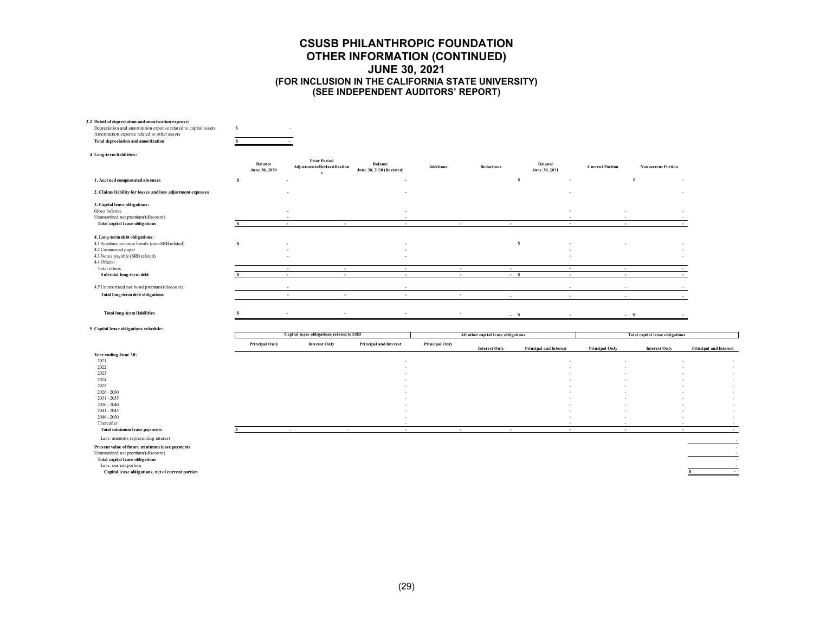| 3.2 Detail of depreciation and amortization expense:<br>Depreciation and amortization expense related to capital assets<br>Amortization expense related to other assets<br>Total depreciation and amortization                                      | -S<br>$\mathbf{S}$       |                  |                                                                  |                                                   |                  |                                              |                               |                          |                                        |                             |
|-----------------------------------------------------------------------------------------------------------------------------------------------------------------------------------------------------------------------------------------------------|--------------------------|------------------|------------------------------------------------------------------|---------------------------------------------------|------------------|----------------------------------------------|-------------------------------|--------------------------|----------------------------------------|-----------------------------|
| 4 Long-term liabilities:                                                                                                                                                                                                                            |                          |                  | <b>Prior Period</b>                                              |                                                   |                  |                                              |                               |                          |                                        |                             |
|                                                                                                                                                                                                                                                     | Balance<br>June 30, 2020 |                  | Adjustments/Reclassification<br>$\mathbf{s}$                     | <b>Balance</b><br><b>June 30, 2020 (Restated)</b> | <b>Additions</b> | <b>Reductions</b>                            | Balance<br>June 30, 2021      | <b>Current Portion</b>   | <b>Noncurrent Portion</b>              |                             |
| 1. Accrued compensated absences                                                                                                                                                                                                                     | s                        |                  |                                                                  |                                                   |                  |                                              | s                             |                          | s                                      |                             |
| 2. Claims liability for losses and loss adjustment expenses                                                                                                                                                                                         |                          |                  |                                                                  |                                                   |                  |                                              |                               |                          |                                        |                             |
| 3. Capital lease obligations:<br>Gross balance<br>Unamortized net premium/(discount)                                                                                                                                                                |                          |                  |                                                                  |                                                   |                  |                                              |                               |                          |                                        |                             |
| <b>Total capital lease obligations</b>                                                                                                                                                                                                              |                          | $\sim$           | $\overline{\phantom{a}}$                                         | $\overline{\phantom{a}}$                          |                  | ٠<br>$\overline{\phantom{a}}$                | $\sim$                        |                          |                                        |                             |
| 4. Long-term debt obligations:<br>4.1 Auxiliary revenue bonds (non-SRB related)<br>4.2 Commercial paper<br>4.3 Notes payable (SRB related)<br>4.4 Others:                                                                                           | $\mathbf{s}$             |                  |                                                                  | $\overline{a}$                                    |                  |                                              | s                             |                          |                                        |                             |
| Total others<br>Sub-total long-term debt                                                                                                                                                                                                            | s                        | $\sim$<br>$\sim$ | $\sim$<br>$\overline{\phantom{a}}$                               | $\sim$<br>$\sim$                                  |                  | $\sim$<br>$\sim$<br>$\overline{\phantom{a}}$ | $\sim$<br>$- S$<br>$\sim$     | $\sim$<br>$\sim$         |                                        |                             |
| 4.5 Unamortized net bond premium/(discount)                                                                                                                                                                                                         |                          | ٠                |                                                                  | $\overline{\phantom{a}}$                          |                  |                                              | i al                          |                          |                                        |                             |
| Total long-term debt obligations                                                                                                                                                                                                                    |                          | ٠                | $\overline{\phantom{a}}$                                         | ٠                                                 |                  | ٠                                            |                               |                          |                                        |                             |
| <b>Total long-term liabilities</b>                                                                                                                                                                                                                  | s                        |                  | $\overline{a}$                                                   | ٠                                                 |                  | ٠                                            | $- S$                         |                          | $-$ s                                  |                             |
| 5 Capital lease obligations schedule:                                                                                                                                                                                                               |                          |                  |                                                                  |                                                   |                  |                                              |                               |                          |                                        |                             |
|                                                                                                                                                                                                                                                     | Principal Only           |                  | Capital lease obligations related to SRB<br><b>Interest Only</b> | Principal and Interest                            | Principal Only   | All other capital lease obligations          |                               |                          | <b>Total capital lease obligations</b> |                             |
| Year ending June 30:<br>2021                                                                                                                                                                                                                        |                          |                  |                                                                  |                                                   |                  | <b>Interest Only</b>                         | <b>Principal and Interest</b> | <b>Principal Only</b>    | <b>Interest Only</b>                   | Principal and Interest      |
| 2022<br>2023<br>2024<br>2025                                                                                                                                                                                                                        |                          |                  |                                                                  |                                                   |                  |                                              |                               |                          |                                        |                             |
| $2026 - 2030$<br>$2031 - 2035$<br>$2036 - 2040$                                                                                                                                                                                                     |                          |                  |                                                                  |                                                   |                  |                                              |                               |                          |                                        |                             |
| $2041 - 2045$<br>$2046 - 2050$<br>Thereafter                                                                                                                                                                                                        |                          |                  |                                                                  |                                                   |                  |                                              |                               |                          |                                        |                             |
| Total minimum lease payments                                                                                                                                                                                                                        |                          | $\sim$           | $\sim$                                                           | $\sim$                                            |                  | $\sim$<br>٠                                  | $\sim$                        | $\overline{\phantom{a}}$ |                                        | $\overline{\phantom{a}}$    |
| Less: amounts representing interest<br>Present value of future minimum lease payments<br>Unamortized net premium/(discount)<br><b>Total capital lease obligations</b><br>Less: current portion<br>Capital lease obligations, net of current portion |                          |                  |                                                                  |                                                   |                  |                                              |                               |                          |                                        | ۰.<br>$\sim$<br>s<br>$\sim$ |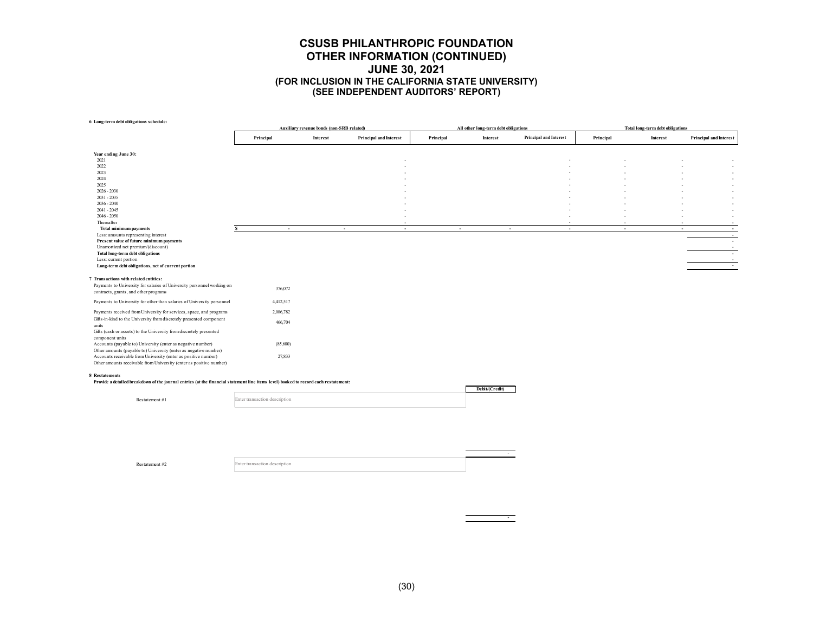**6 Long-term debt obligations schedule:**

|                                                                                                                                      | Auxiliary revenue bonds (non-SRB related) |          |                               | All other long-term debt obligations |                  |                        | Total long-term debt obligations |          |                               |  |
|--------------------------------------------------------------------------------------------------------------------------------------|-------------------------------------------|----------|-------------------------------|--------------------------------------|------------------|------------------------|----------------------------------|----------|-------------------------------|--|
|                                                                                                                                      | Principal                                 | Interest | <b>Principal and Interest</b> | Principal                            | Interest         | Principal and Interest | Principal                        | Interest | <b>Principal and Interest</b> |  |
| Year ending June 30:                                                                                                                 |                                           |          |                               |                                      |                  |                        |                                  |          |                               |  |
| 2021                                                                                                                                 |                                           |          |                               |                                      |                  |                        |                                  |          |                               |  |
| 2022                                                                                                                                 |                                           |          |                               |                                      |                  |                        |                                  |          |                               |  |
| 2023<br>2024                                                                                                                         |                                           |          |                               |                                      |                  |                        |                                  |          | $\sim$                        |  |
| 2025                                                                                                                                 |                                           |          |                               |                                      |                  |                        |                                  |          | $\sim$                        |  |
| $2026 - 2030$                                                                                                                        |                                           |          |                               |                                      |                  |                        |                                  |          |                               |  |
| $2031 - 2035$                                                                                                                        |                                           |          |                               |                                      |                  |                        |                                  |          |                               |  |
| $2036 - 2040$                                                                                                                        |                                           |          |                               |                                      |                  |                        |                                  |          | $\overline{\phantom{a}}$      |  |
| $2041 - 2045$<br>$2046 - 2050$                                                                                                       |                                           |          |                               |                                      |                  |                        |                                  |          | $\sim$                        |  |
| Thereafter                                                                                                                           |                                           |          |                               |                                      |                  |                        |                                  |          |                               |  |
| <b>Total minimum payments</b>                                                                                                        | $\sim$                                    |          | $\sim$<br>$\sim$              |                                      | $\sim$<br>$\sim$ | $\sim$                 | $\sim$                           |          | $\sim$<br>$\sim$              |  |
| Less: amounts representing interest                                                                                                  |                                           |          |                               |                                      |                  |                        |                                  |          | $\sim$                        |  |
| Present value of future minimum payments                                                                                             |                                           |          |                               |                                      |                  |                        |                                  |          | $\sim$                        |  |
| Unamortized net premium/(discount)<br><b>Total long-term debt obligations</b>                                                        |                                           |          |                               |                                      |                  |                        |                                  |          |                               |  |
| Less: current portion                                                                                                                |                                           |          |                               |                                      |                  |                        |                                  |          |                               |  |
| Long-term debt obligations, net of current portion                                                                                   |                                           |          |                               |                                      |                  |                        |                                  |          | $\sim$ $-$                    |  |
| 7 Transactions with related entities:                                                                                                |                                           |          |                               |                                      |                  |                        |                                  |          |                               |  |
| Payments to University for salaries of University personnel working on                                                               | 376,072                                   |          |                               |                                      |                  |                        |                                  |          |                               |  |
| contracts, grants, and other programs                                                                                                |                                           |          |                               |                                      |                  |                        |                                  |          |                               |  |
| Payments to University for other than salaries of University personnel                                                               | 4,412,517                                 |          |                               |                                      |                  |                        |                                  |          |                               |  |
| Payments received from University for services, space, and programs                                                                  | 2,086,782                                 |          |                               |                                      |                  |                        |                                  |          |                               |  |
| Gifts-in-kind to the University from discretely presented component<br>units                                                         | 466,704                                   |          |                               |                                      |                  |                        |                                  |          |                               |  |
| Gifts (cash or assets) to the University from discretely presented                                                                   |                                           |          |                               |                                      |                  |                        |                                  |          |                               |  |
| component units                                                                                                                      |                                           |          |                               |                                      |                  |                        |                                  |          |                               |  |
| Accounts (payable to) University (enter as negative number)                                                                          | (85,680)                                  |          |                               |                                      |                  |                        |                                  |          |                               |  |
| Other amounts (payable to) University (enter as negative number)<br>Accounts receivable from University (enter as positive number)   | 27,833                                    |          |                               |                                      |                  |                        |                                  |          |                               |  |
| Other amounts receivable from University (enter as positive number)                                                                  |                                           |          |                               |                                      |                  |                        |                                  |          |                               |  |
| 8 Restatements                                                                                                                       |                                           |          |                               |                                      |                  |                        |                                  |          |                               |  |
| Provide a detailed breakdown of the journal entries (at the financial statement line items level) booked to record each restatement: |                                           |          |                               |                                      | Debit/(Credit)   |                        |                                  |          |                               |  |
| Restatement #1                                                                                                                       | Enter transaction description             |          |                               |                                      |                  |                        |                                  |          |                               |  |
|                                                                                                                                      |                                           |          |                               |                                      |                  |                        |                                  |          |                               |  |
|                                                                                                                                      |                                           |          |                               |                                      |                  |                        |                                  |          |                               |  |
|                                                                                                                                      |                                           |          |                               |                                      |                  |                        |                                  |          |                               |  |
|                                                                                                                                      |                                           |          |                               |                                      |                  |                        |                                  |          |                               |  |
|                                                                                                                                      |                                           |          |                               |                                      |                  |                        |                                  |          |                               |  |
|                                                                                                                                      |                                           |          |                               |                                      |                  |                        |                                  |          |                               |  |
|                                                                                                                                      |                                           |          |                               |                                      |                  |                        |                                  |          |                               |  |

Restatement #2

Enter transaction description

-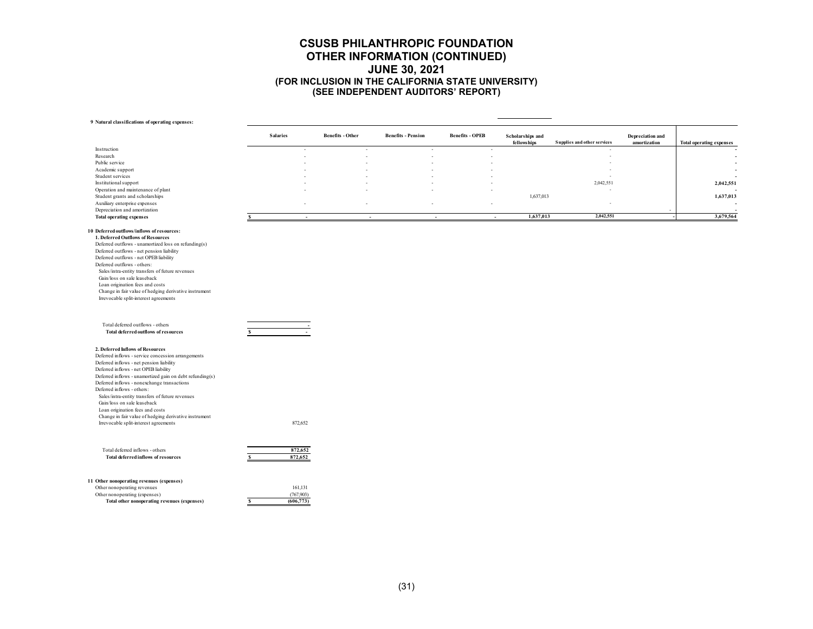#### **9 Natural classifications of operating expenses:**

|                                                                          | <b>Salaries</b> | <b>Benefits - Other</b> | <b>Benefits - Pension</b> | <b>Benefits - OPEB</b> | Scholarships and         |                             | Depreciation and |                                 |
|--------------------------------------------------------------------------|-----------------|-------------------------|---------------------------|------------------------|--------------------------|-----------------------------|------------------|---------------------------------|
|                                                                          |                 |                         |                           |                        | fellows hips             | Supplies and other services | amortization     | <b>Total operating expenses</b> |
| Instruction                                                              |                 | ٠                       | ٠                         |                        | ٠                        |                             |                  |                                 |
| Research                                                                 |                 | ٠                       |                           |                        | $\overline{\phantom{a}}$ |                             |                  | ٠                               |
| Public service                                                           |                 |                         |                           |                        |                          |                             |                  | ٠                               |
| Academic support                                                         |                 |                         |                           |                        |                          |                             |                  |                                 |
| Student services                                                         |                 |                         |                           |                        |                          |                             |                  |                                 |
| Institutional support                                                    |                 |                         |                           |                        |                          | 2,042,551                   |                  | 2,042,551                       |
| Operation and maintenance of plant                                       |                 |                         |                           |                        |                          |                             |                  |                                 |
| Student grants and scholarships                                          |                 |                         |                           |                        | 1,637,013                |                             |                  | 1,637,013                       |
| Auxiliary enterprise expenses                                            |                 |                         |                           |                        | $\overline{\phantom{a}}$ |                             |                  |                                 |
| Depreciation and amortization                                            |                 |                         |                           |                        |                          |                             |                  |                                 |
| <b>Total operating expenses</b>                                          | $\sim$          |                         | $\sim$                    | $\sim$                 | 1,637,013<br>$\sim$      | 2,042,551                   |                  | 3,679,564                       |
|                                                                          |                 |                         |                           |                        |                          |                             |                  |                                 |
| 10 Deferred outflows/inflows of resources:                               |                 |                         |                           |                        |                          |                             |                  |                                 |
| 1. Deferred Outflows of Resources                                        |                 |                         |                           |                        |                          |                             |                  |                                 |
| Deferred outflows - unamortized loss on refunding(s)                     |                 |                         |                           |                        |                          |                             |                  |                                 |
| Deferred outflows - net pension liability                                |                 |                         |                           |                        |                          |                             |                  |                                 |
| Deferred outflows - net OPEB liability                                   |                 |                         |                           |                        |                          |                             |                  |                                 |
| Deferred outflows - others:                                              |                 |                         |                           |                        |                          |                             |                  |                                 |
| Sales/intra-entity transfers of future revenues                          |                 |                         |                           |                        |                          |                             |                  |                                 |
| Gain/loss on sale leaseback                                              |                 |                         |                           |                        |                          |                             |                  |                                 |
| Loan origination fees and costs                                          |                 |                         |                           |                        |                          |                             |                  |                                 |
| Change in fair value of hedging derivative instrument                    |                 |                         |                           |                        |                          |                             |                  |                                 |
| Irrevocable split-interest agreements                                    |                 |                         |                           |                        |                          |                             |                  |                                 |
|                                                                          |                 |                         |                           |                        |                          |                             |                  |                                 |
| Total deferred outflows - others<br>Total deferred outflows of resources |                 |                         |                           |                        |                          |                             |                  |                                 |
|                                                                          |                 |                         |                           |                        |                          |                             |                  |                                 |
| 2. Deferred Inflows of Resources                                         |                 |                         |                           |                        |                          |                             |                  |                                 |
| Deferred inflows - service concession arrangements                       |                 |                         |                           |                        |                          |                             |                  |                                 |
| Deferred inflows - net pension liability                                 |                 |                         |                           |                        |                          |                             |                  |                                 |
| Deferred inflows - net OPEB liability                                    |                 |                         |                           |                        |                          |                             |                  |                                 |
| Deferred inflows - unamortized gain on debt refunding(s)                 |                 |                         |                           |                        |                          |                             |                  |                                 |
| Deferred inflows - nonexchange transactions                              |                 |                         |                           |                        |                          |                             |                  |                                 |
| Deferred inflows - others:                                               |                 |                         |                           |                        |                          |                             |                  |                                 |
| Sales/intra-entity transfers of future revenues                          |                 |                         |                           |                        |                          |                             |                  |                                 |
| Gain/loss on sale leaseback                                              |                 |                         |                           |                        |                          |                             |                  |                                 |
| Loan origination fees and costs                                          |                 |                         |                           |                        |                          |                             |                  |                                 |
| Change in fair value of hedging derivative instrument                    |                 |                         |                           |                        |                          |                             |                  |                                 |
| Irrevocable split-interest agreements                                    | 872,652         |                         |                           |                        |                          |                             |                  |                                 |
|                                                                          |                 |                         |                           |                        |                          |                             |                  |                                 |
| Total deferred inflows - others                                          | 872,652         |                         |                           |                        |                          |                             |                  |                                 |
| Total deferred inflows of resources                                      | 872,652         |                         |                           |                        |                          |                             |                  |                                 |
|                                                                          |                 |                         |                           |                        |                          |                             |                  |                                 |
|                                                                          |                 |                         |                           |                        |                          |                             |                  |                                 |
| 11 Other nonoperating revenues (expenses)                                |                 |                         |                           |                        |                          |                             |                  |                                 |
| Other nonoperating revenues                                              | 161,131         |                         |                           |                        |                          |                             |                  |                                 |

Other nonoperating (expenses) (767,903)<br>
Total other nonoperating revenues (expenses) 5 (606,773) **Total other nonoperating revenues (expenses)**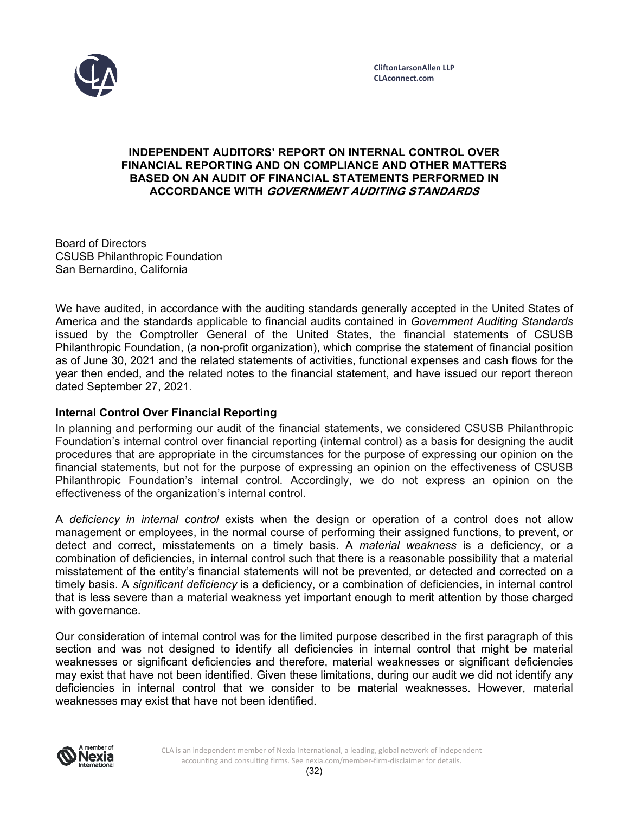

# **INDEPENDENT AUDITORS' REPORT ON INTERNAL CONTROL OVER FINANCIAL REPORTING AND ON COMPLIANCE AND OTHER MATTERS BASED ON AN AUDIT OF FINANCIAL STATEMENTS PERFORMED IN ACCORDANCE WITH GOVERNMENT AUDITING STANDARDS**

Board of Directors CSUSB Philanthropic Foundation San Bernardino, California

We have audited, in accordance with the auditing standards generally accepted in the United States of America and the standards applicable to financial audits contained in *Government Auditing Standards*  issued by the Comptroller General of the United States, the financial statements of CSUSB Philanthropic Foundation, (a non-profit organization), which comprise the statement of financial position as of June 30, 2021 and the related statements of activities, functional expenses and cash flows for the year then ended, and the related notes to the financial statement, and have issued our report thereon dated September 27, 2021.

# **Internal Control Over Financial Reporting**

In planning and performing our audit of the financial statements, we considered CSUSB Philanthropic Foundation's internal control over financial reporting (internal control) as a basis for designing the audit procedures that are appropriate in the circumstances for the purpose of expressing our opinion on the financial statements, but not for the purpose of expressing an opinion on the effectiveness of CSUSB Philanthropic Foundation's internal control. Accordingly, we do not express an opinion on the effectiveness of the organization's internal control.

A *deficiency in internal control* exists when the design or operation of a control does not allow management or employees, in the normal course of performing their assigned functions, to prevent, or detect and correct, misstatements on a timely basis. A *material weakness* is a deficiency, or a combination of deficiencies, in internal control such that there is a reasonable possibility that a material misstatement of the entity's financial statements will not be prevented, or detected and corrected on a timely basis. A *significant deficiency* is a deficiency, or a combination of deficiencies, in internal control that is less severe than a material weakness yet important enough to merit attention by those charged with governance.

Our consideration of internal control was for the limited purpose described in the first paragraph of this section and was not designed to identify all deficiencies in internal control that might be material weaknesses or significant deficiencies and therefore, material weaknesses or significant deficiencies may exist that have not been identified. Given these limitations, during our audit we did not identify any deficiencies in internal control that we consider to be material weaknesses. However, material weaknesses may exist that have not been identified.

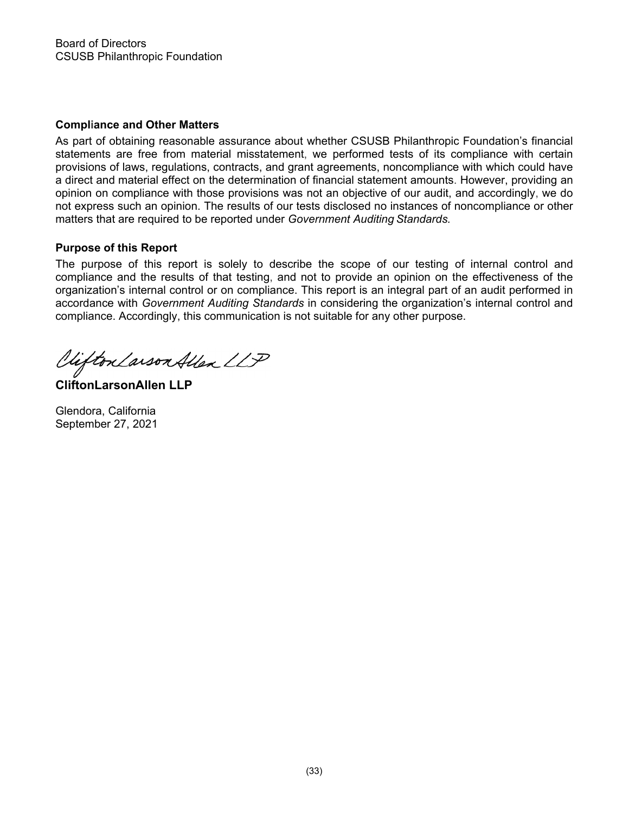# **Compliance and Other Matters**

As part of obtaining reasonable assurance about whether CSUSB Philanthropic Foundation's financial statements are free from material misstatement, we performed tests of its compliance with certain provisions of laws, regulations, contracts, and grant agreements, noncompliance with which could have a direct and material effect on the determination of financial statement amounts. However, providing an opinion on compliance with those provisions was not an objective of our audit, and accordingly, we do not express such an opinion. The results of our tests disclosed no instances of noncompliance or other matters that are required to be reported under *Government Auditing Standards.* 

# **Purpose of this Report**

The purpose of this report is solely to describe the scope of our testing of internal control and compliance and the results of that testing, and not to provide an opinion on the effectiveness of the organization's internal control or on compliance. This report is an integral part of an audit performed in accordance with *Government Auditing Standards* in considering the organization's internal control and compliance. Accordingly, this communication is not suitable for any other purpose.

Viifton Larson Allen LLP

**CliftonLarsonAllen LLP** 

Glendora, California September 27, 2021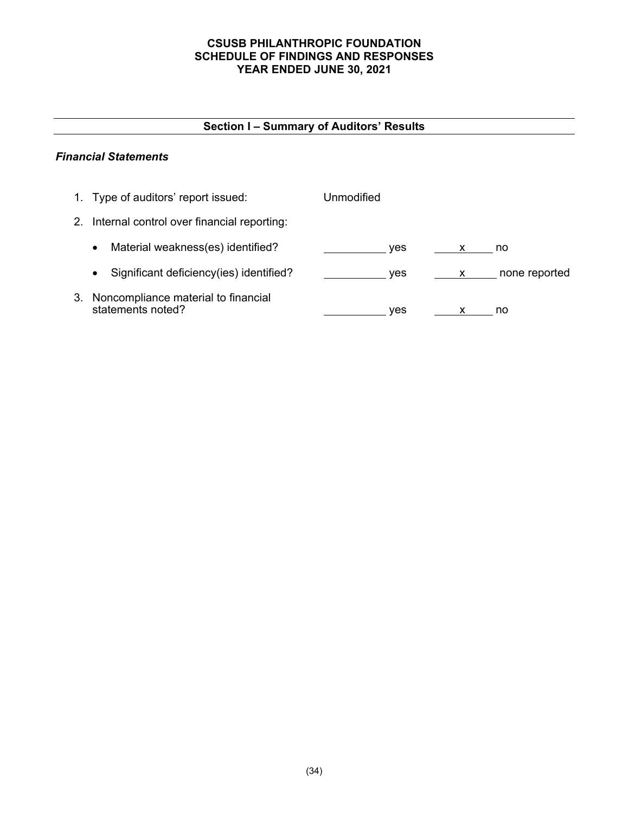# **CSUSB PHILANTHROPIC FOUNDATION SCHEDULE OF FINDINGS AND RESPONSES YEAR ENDED JUNE 30, 2021**

# **Section I – Summary of Auditors' Results**

# *Financial Statements*

|    | 1. Type of auditors' report issued:                      | Unmodified |               |
|----|----------------------------------------------------------|------------|---------------|
| 2. | Internal control over financial reporting:               |            |               |
|    | Material weakness(es) identified?<br>$\bullet$           | ves        | no            |
|    | Significant deficiency (ies) identified?<br>$\bullet$    | ves<br>X.  | none reported |
| З. | Noncompliance material to financial<br>statements noted? | ves        | no            |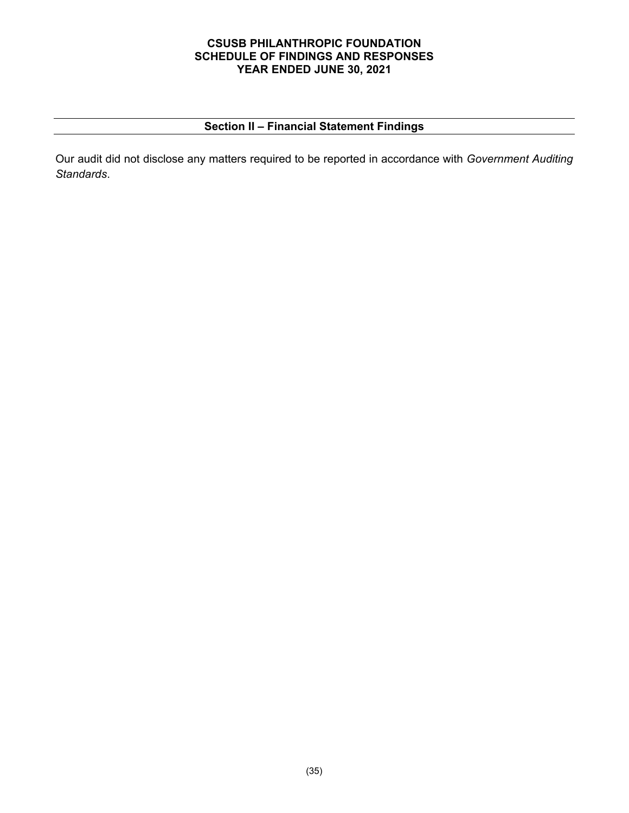# **CSUSB PHILANTHROPIC FOUNDATION SCHEDULE OF FINDINGS AND RESPONSES YEAR ENDED JUNE 30, 2021**

# **Section II – Financial Statement Findings**

Our audit did not disclose any matters required to be reported in accordance with *Government Auditing Standards*.